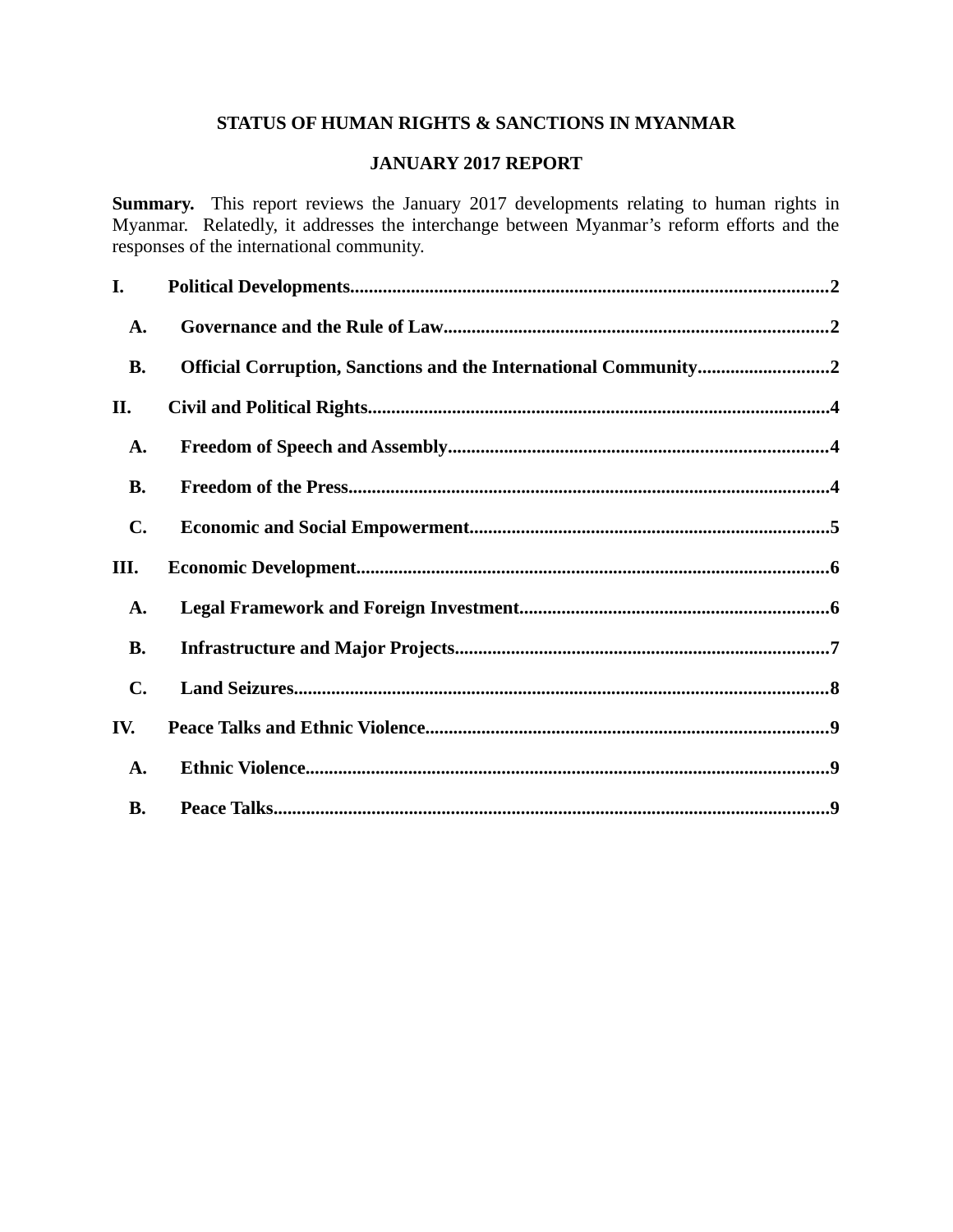# **STATUS OF HUMAN RIGHTS & SANCTIONS IN MYANMAR**

### **JANUARY 2017 REPORT**

**Summary.** This report reviews the January 2017 developments relating to human rights in Myanmar. Relatedly, it addresses the interchange between Myanmar's reform efforts and the responses of the international community.

| I.             |                                                                 |  |
|----------------|-----------------------------------------------------------------|--|
| A.             |                                                                 |  |
| <b>B.</b>      | Official Corruption, Sanctions and the International Community2 |  |
| II.            |                                                                 |  |
| A.             |                                                                 |  |
| <b>B.</b>      |                                                                 |  |
| $\mathbf{C}$ . |                                                                 |  |
|                |                                                                 |  |
| III.           |                                                                 |  |
| A.             |                                                                 |  |
| <b>B.</b>      |                                                                 |  |
| $\mathbf{C}$ . |                                                                 |  |
| IV.            |                                                                 |  |
| A.             |                                                                 |  |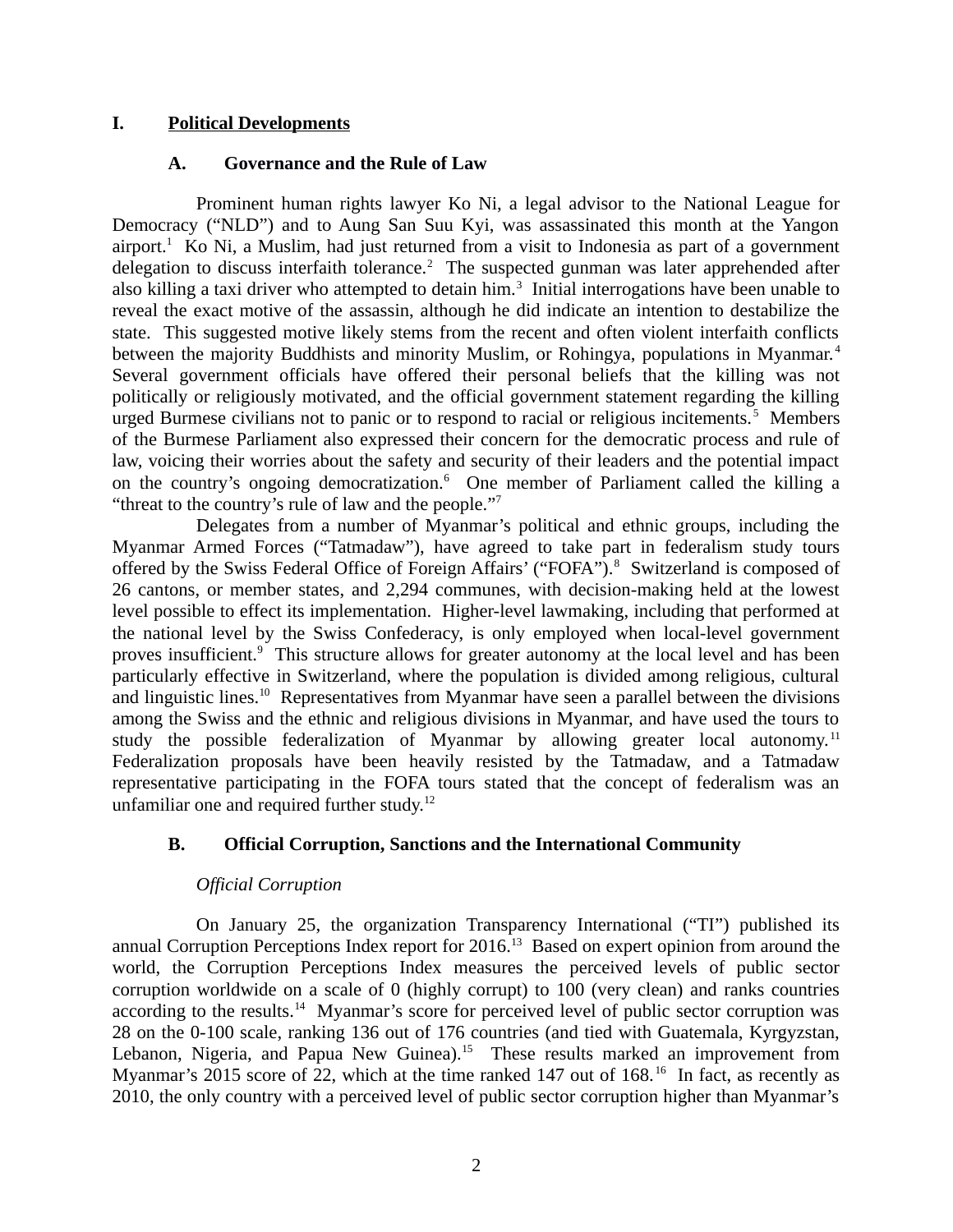### **I. Political Developments**

### <span id="page-1-2"></span><span id="page-1-0"></span>**A. Governance and the Rule of Law**

Prominent human rights lawyer Ko Ni, a legal advisor to the National League for Democracy ("NLD") and to Aung San Suu Kyi, was assassinated this month at the Yangon airport.<sup>1</sup> Ko Ni, a Muslim, had just returned from a visit to Indonesia as part of a government delegation to discuss interfaith tolerance.<sup>2</sup> The suspected gunman was later apprehended after also killing a taxi driver who attempted to detain him.<sup>3</sup> Initial interrogations have been unable to reveal the exact motive of the assassin, although he did indicate an intention to destabilize the state. This suggested motive likely stems from the recent and often violent interfaith conflicts between the majority Buddhists and minority Muslim, or Rohingya, populations in Myanmar.<sup>4</sup> Several government officials have offered their personal beliefs that the killing was not politically or religiously motivated, and the official government statement regarding the killing urged Burmese civilians not to panic or to respond to racial or religious incitements.<sup>5</sup> Members of the Burmese Parliament also expressed their concern for the democratic process and rule of law, voicing their worries about the safety and security of their leaders and the potential impact on the country's ongoing democratization.<sup>6</sup> One member of Parliament called the killing a "threat to the country's rule of law and the people."<sup>7</sup>

Delegates from a number of Myanmar's political and ethnic groups, including the Myanmar Armed Forces ("Tatmadaw"), have agreed to take part in federalism study tours offered by the Swiss Federal Office of Foreign Affairs' ("FOFA").<sup>8</sup> Switzerland is composed of 26 cantons, or member states, and 2,294 communes, with decision-making held at the lowest level possible to effect its implementation. Higher-level lawmaking, including that performed at the national level by the Swiss Confederacy, is only employed when local-level government proves insufficient.<sup>9</sup> This structure allows for greater autonomy at the local level and has been particularly effective in Switzerland, where the population is divided among religious, cultural and linguistic lines.<sup>10</sup> Representatives from Myanmar have seen a parallel between the divisions among the Swiss and the ethnic and religious divisions in Myanmar, and have used the tours to study the possible federalization of Myanmar by allowing greater local autonomy.<sup>11</sup> Federalization proposals have been heavily resisted by the Tatmadaw, and a Tatmadaw representative participating in the FOFA tours stated that the concept of federalism was an unfamiliar one and required further study.<sup>12</sup>

### **B. Official Corruption, Sanctions and the International Community**

### <span id="page-1-1"></span>*Official Corruption*

On January 25, the organization Transparency International ("TI") published its annual Corruption Perceptions Index report for 2016.<sup>13</sup> Based on expert opinion from around the world, the Corruption Perceptions Index measures the perceived levels of public sector corruption worldwide on a scale of 0 (highly corrupt) to 100 (very clean) and ranks countries according to the results.<sup>14</sup> Myanmar's score for perceived level of public sector corruption was 28 on the 0-100 scale, ranking 136 out of 176 countries (and tied with Guatemala, Kyrgyzstan, Lebanon, Nigeria, and Papua New Guinea).<sup>15</sup> These results marked an improvement from Myanmar's 2015 score of 22, which at the time ranked 147 out of 168.<sup>16</sup> In fact, as recently as 2010, the only country with a perceived level of public sector corruption higher than Myanmar's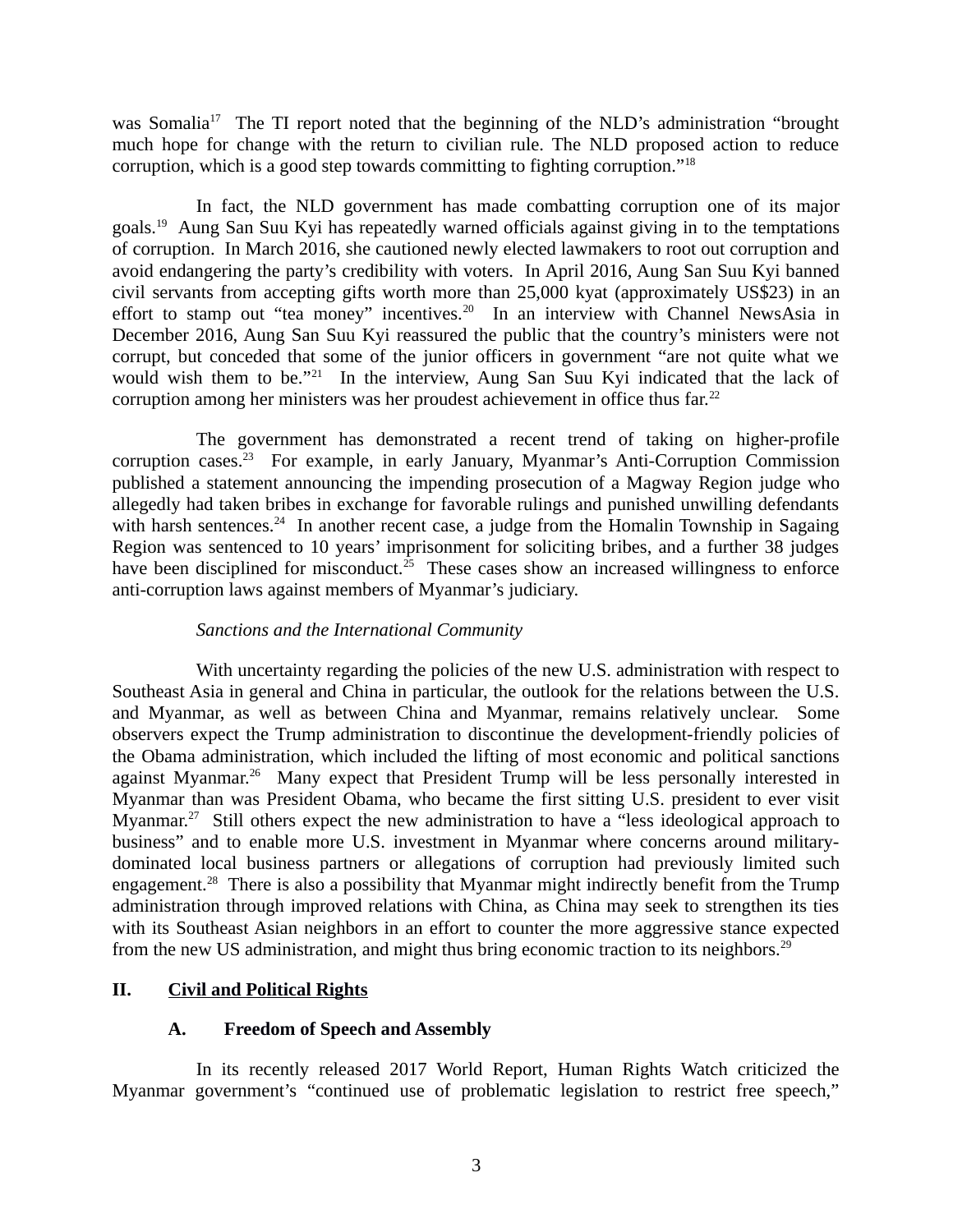was Somalia<sup>17</sup> The TI report noted that the beginning of the NLD's administration "brought" much hope for change with the return to civilian rule. The NLD proposed action to reduce corruption, which is a good step towards committing to fighting corruption." $^{18}$ 

In fact, the NLD government has made combatting corruption one of its major goals.<sup>19</sup> Aung San Suu Kyi has repeatedly warned officials against giving in to the temptations of corruption. In March 2016, she cautioned newly elected lawmakers to root out corruption and avoid endangering the party's credibility with voters. In April 2016, Aung San Suu Kyi banned civil servants from accepting gifts worth more than 25,000 kyat (approximately US\$23) in an effort to stamp out "tea money" incentives.<sup>20</sup> In an interview with Channel NewsAsia in December 2016, Aung San Suu Kyi reassured the public that the country's ministers were not corrupt, but conceded that some of the junior officers in government "are not quite what we would wish them to be."<sup>21</sup> In the interview, Aung San Suu Kyi indicated that the lack of corruption among her ministers was her proudest achievement in office thus far.<sup>22</sup>

The government has demonstrated a recent trend of taking on higher-profile corruption cases.<sup>23</sup> For example, in early January, Myanmar's Anti-Corruption Commission published a statement announcing the impending prosecution of a Magway Region judge who allegedly had taken bribes in exchange for favorable rulings and punished unwilling defendants with harsh sentences.<sup>24</sup> In another recent case, a judge from the Homalin Township in Sagaing Region was sentenced to 10 years' imprisonment for soliciting bribes, and a further 38 judges have been disciplined for misconduct.<sup>25</sup> These cases show an increased willingness to enforce anti-corruption laws against members of Myanmar's judiciary.

# *Sanctions and the International Community*

With uncertainty regarding the policies of the new U.S. administration with respect to Southeast Asia in general and China in particular, the outlook for the relations between the U.S. and Myanmar, as well as between China and Myanmar, remains relatively unclear. Some observers expect the Trump administration to discontinue the development-friendly policies of the Obama administration, which included the lifting of most economic and political sanctions against Myanmar.<sup>26</sup> Many expect that President Trump will be less personally interested in Myanmar than was President Obama, who became the first sitting U.S. president to ever visit Myanmar.<sup>27</sup> Still others expect the new administration to have a "less ideological approach to business" and to enable more U.S. investment in Myanmar where concerns around militarydominated local business partners or allegations of corruption had previously limited such engagement.<sup>28</sup> There is also a possibility that Myanmar might indirectly benefit from the Trump administration through improved relations with China, as China may seek to strengthen its ties with its Southeast Asian neighbors in an effort to counter the more aggressive stance expected from the new US administration, and might thus bring economic traction to its neighbors.<sup>29</sup>

# **II. Civil and Political Rights**

### <span id="page-2-1"></span><span id="page-2-0"></span>**A. Freedom of Speech and Assembly**

In its recently released 2017 World Report, Human Rights Watch criticized the Myanmar government's "continued use of problematic legislation to restrict free speech,"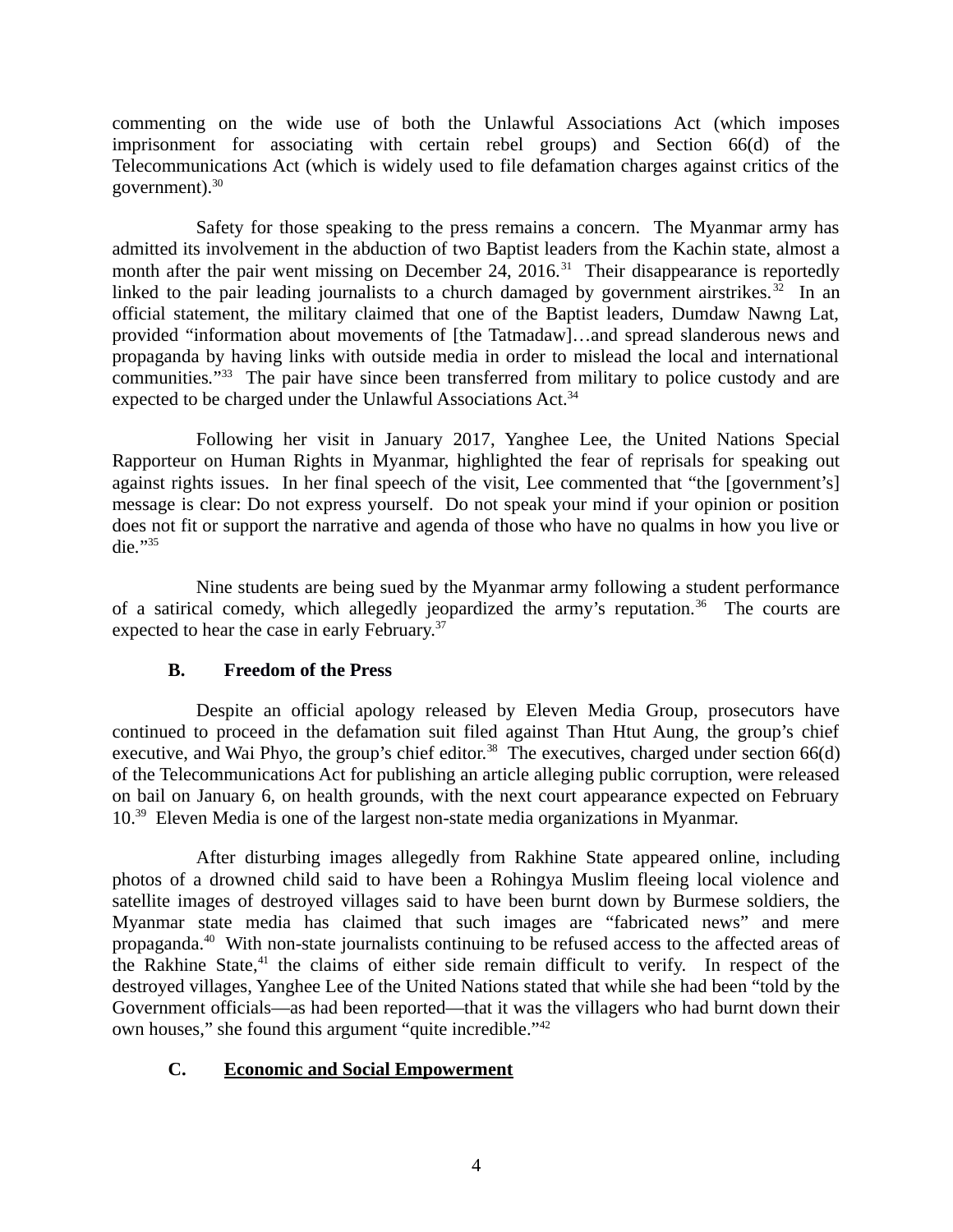commenting on the wide use of both the Unlawful Associations Act (which imposes imprisonment for associating with certain rebel groups) and Section 66(d) of the Telecommunications Act (which is widely used to file defamation charges against critics of the government). $30$ 

Safety for those speaking to the press remains a concern. The Myanmar army has admitted its involvement in the abduction of two Baptist leaders from the Kachin state, almost a month after the pair went missing on December 24, 2016.<sup>31</sup> Their disappearance is reportedly linked to the pair leading journalists to a church damaged by government airstrikes.<sup>32</sup> In an official statement, the military claimed that one of the Baptist leaders, Dumdaw Nawng Lat, provided "information about movements of [the Tatmadaw]…and spread slanderous news and propaganda by having links with outside media in order to mislead the local and international communities*.*" <sup>33</sup> The pair have since been transferred from military to police custody and are expected to be charged under the Unlawful Associations Act.<sup>34</sup>

Following her visit in January 2017, Yanghee Lee, the United Nations Special Rapporteur on Human Rights in Myanmar, highlighted the fear of reprisals for speaking out against rights issues. In her final speech of the visit, Lee commented that "the [government's] message is clear: Do not express yourself. Do not speak your mind if your opinion or position does not fit or support the narrative and agenda of those who have no qualms in how you live or die*.*" 35

Nine students are being sued by the Myanmar army following a student performance of a satirical comedy, which allegedly jeopardized the army's reputation.<sup>36</sup> The courts are expected to hear the case in early February.<sup>37</sup>

# <span id="page-3-1"></span>**B. Freedom of the Press**

Despite an official apology released by Eleven Media Group, prosecutors have continued to proceed in the defamation suit filed against Than Htut Aung, the group's chief executive, and Wai Phyo, the group's chief editor.<sup>38</sup> The executives, charged under section  $66(d)$ of the Telecommunications Act for publishing an article alleging public corruption, were released on bail on January 6, on health grounds, with the next court appearance expected on February 10.<sup>39</sup> Eleven Media is one of the largest non-state media organizations in Myanmar.

After disturbing images allegedly from Rakhine State appeared online, including photos of a drowned child said to have been a Rohingya Muslim fleeing local violence and satellite images of destroyed villages said to have been burnt down by Burmese soldiers, the Myanmar state media has claimed that such images are "fabricated news" and mere propaganda.<sup>40</sup> With non-state journalists continuing to be refused access to the affected areas of the Rakhine State, $41$  the claims of either side remain difficult to verify. In respect of the destroyed villages, Yanghee Lee of the United Nations stated that while she had been "told by the Government officials—as had been reported—that it was the villagers who had burnt down their own houses," she found this argument "quite incredible."<sup>42</sup>

# <span id="page-3-0"></span>**C. Economic and Social Empowerment**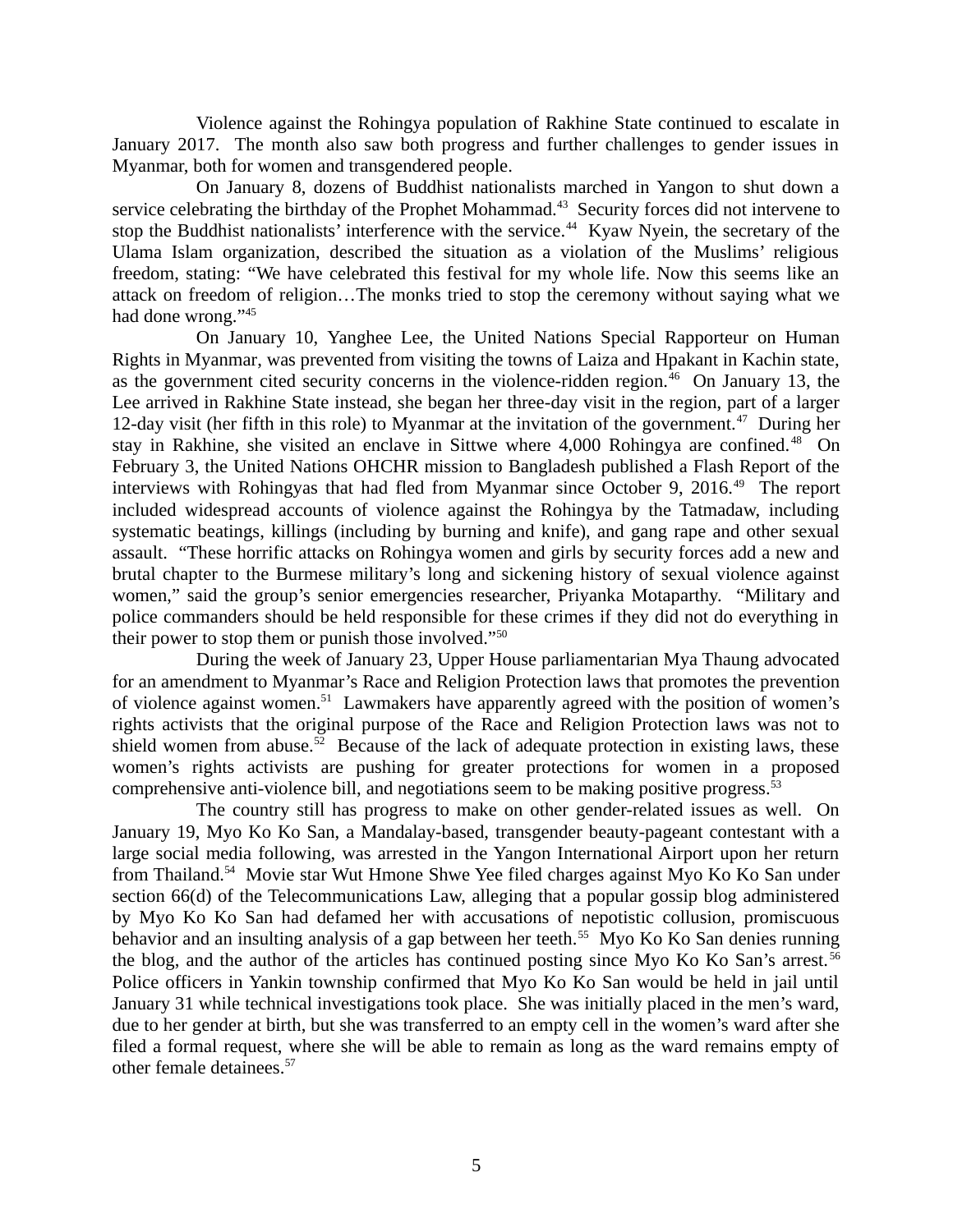Violence against the Rohingya population of Rakhine State continued to escalate in January 2017. The month also saw both progress and further challenges to gender issues in Myanmar, both for women and transgendered people.

On January 8, dozens of Buddhist nationalists marched in Yangon to shut down a service celebrating the birthday of the Prophet Mohammad.<sup>43</sup> Security forces did not intervene to stop the Buddhist nationalists' interference with the service.<sup>44</sup> Kyaw Nyein, the secretary of the Ulama Islam organization, described the situation as a violation of the Muslims' religious freedom, stating: "We have celebrated this festival for my whole life. Now this seems like an attack on freedom of religion…The monks tried to stop the ceremony without saying what we had done wrong."<sup>45</sup>

On January 10, Yanghee Lee, the United Nations Special Rapporteur on Human Rights in Myanmar, was prevented from visiting the towns of Laiza and Hpakant in Kachin state, as the government cited security concerns in the violence-ridden region.<sup>46</sup> On January 13, the Lee arrived in Rakhine State instead, she began her three-day visit in the region, part of a larger 12-day visit (her fifth in this role) to Myanmar at the invitation of the government.<sup>47</sup> During her stay in Rakhine, she visited an enclave in Sittwe where 4,000 Rohingya are confined.<sup>48</sup> On February 3, the United Nations OHCHR mission to Bangladesh published a Flash Report of the interviews with Rohingyas that had fled from Myanmar since October 9, 2016. $49$  The report included widespread accounts of violence against the Rohingya by the Tatmadaw, including systematic beatings, killings (including by burning and knife), and gang rape and other sexual assault. "These horrific attacks on Rohingya women and girls by security forces add a new and brutal chapter to the Burmese military's long and sickening history of sexual violence against women," said the group's senior emergencies researcher, Priyanka Motaparthy. "Military and police commanders should be held responsible for these crimes if they did not do everything in their power to stop them or punish those involved."<sup>50</sup>

During the week of January 23, Upper House parliamentarian Mya Thaung advocated for an amendment to Myanmar's Race and Religion Protection laws that promotes the prevention of violence against women.<sup>51</sup> Lawmakers have apparently agreed with the position of women's rights activists that the original purpose of the Race and Religion Protection laws was not to shield women from abuse.<sup>52</sup> Because of the lack of adequate protection in existing laws, these women's rights activists are pushing for greater protections for women in a proposed comprehensive anti-violence bill, and negotiations seem to be making positive progress. $53$ 

The country still has progress to make on other gender-related issues as well. On January 19, Myo Ko Ko San, a Mandalay-based, transgender beauty-pageant contestant with a large social media following, was arrested in the Yangon International Airport upon her return from Thailand.<sup>54</sup> Movie star Wut Hmone Shwe Yee filed charges against Myo Ko Ko San under section 66(d) of the Telecommunications Law, alleging that a popular gossip blog administered by Myo Ko Ko San had defamed her with accusations of nepotistic collusion, promiscuous behavior and an insulting analysis of a gap between her teeth.<sup>55</sup> Myo Ko Ko San denies running the blog, and the author of the articles has continued posting since Myo Ko Ko San's arrest. <sup>56</sup> Police officers in Yankin township confirmed that Myo Ko Ko San would be held in jail until January 31 while technical investigations took place. She was initially placed in the men's ward, due to her gender at birth, but she was transferred to an empty cell in the women's ward after she filed a formal request, where she will be able to remain as long as the ward remains empty of other female detainees.<sup>57</sup>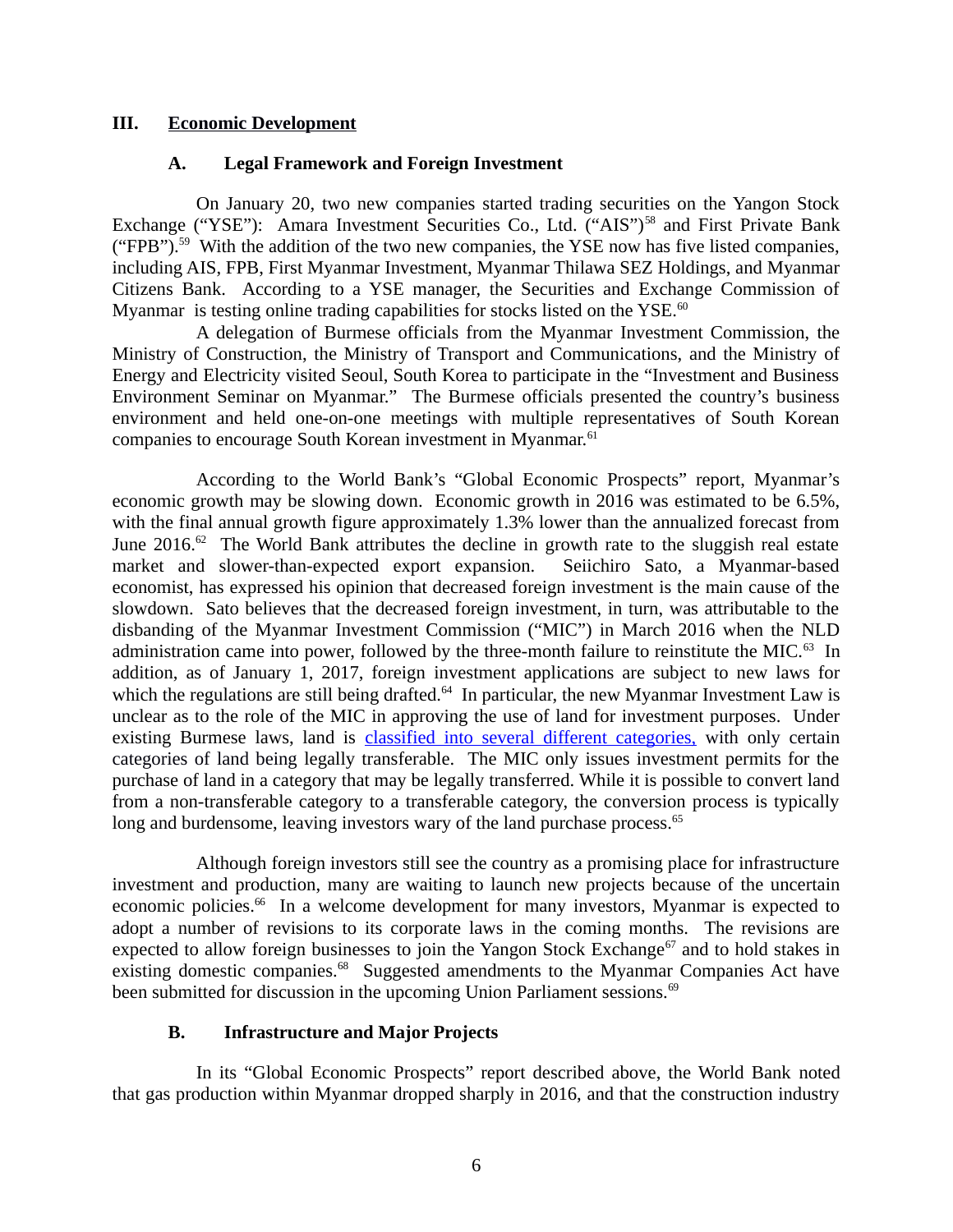#### **III. Economic Development**

#### <span id="page-5-2"></span><span id="page-5-1"></span>**A. Legal Framework and Foreign Investment**

On January 20, two new companies started trading securities on the Yangon Stock Exchange ("YSE"): Amara Investment Securities Co., Ltd. ("AIS")<sup>58</sup> and First Private Bank ("FPB").<sup>59</sup> With the addition of the two new companies, the YSE now has five listed companies, including AIS, FPB, First Myanmar Investment, Myanmar Thilawa SEZ Holdings, and Myanmar Citizens Bank. According to a YSE manager, the Securities and Exchange Commission of Myanmar is testing online trading capabilities for stocks listed on the  $YSE$ .<sup>60</sup>

A delegation of Burmese officials from the Myanmar Investment Commission, the Ministry of Construction, the Ministry of Transport and Communications, and the Ministry of Energy and Electricity visited Seoul, South Korea to participate in the "Investment and Business Environment Seminar on Myanmar." The Burmese officials presented the country's business environment and held one-on-one meetings with multiple representatives of South Korean companies to encourage South Korean investment in Myanmar.<sup>61</sup>

According to the World Bank's "Global Economic Prospects" report, Myanmar's economic growth may be slowing down. Economic growth in 2016 was estimated to be 6.5%, with the final annual growth figure approximately 1.3% lower than the annualized forecast from June  $2016<sup>62</sup>$  The World Bank attributes the decline in growth rate to the sluggish real estate market and slower-than-expected export expansion. Seiichiro Sato, a Myanmar-based economist, has expressed his opinion that decreased foreign investment is the main cause of the slowdown. Sato believes that the decreased foreign investment, in turn, was attributable to the disbanding of the Myanmar Investment Commission ("MIC") in March 2016 when the NLD administration came into power, followed by the three-month failure to reinstitute the MIC. $^{63}$  In addition, as of January 1, 2017, foreign investment applications are subject to new laws for which the regulations are still being drafted.<sup>64</sup> In particular, the new Myanmar Investment Law is unclear as to the role of the MIC in approving the use of land for investment purposes. Under existing Burmese laws, land is [classified into several different categories,](http://www.mmtimes.com/index.php/national-news/nay-pyi-taw/23986-parliamentary-commission-advises-overhaul-of-national-land-use-policy.html) with only certain categories of land being legally transferable. The MIC only issues investment permits for the purchase of land in a category that may be legally transferred. While it is possible to convert land from a non-transferable category to a transferable category, the conversion process is typically long and burdensome, leaving investors wary of the land purchase process.<sup>65</sup>

Although foreign investors still see the country as a promising place for infrastructure investment and production, many are waiting to launch new projects because of the uncertain economic policies.<sup>66</sup> In a welcome development for many investors, Myanmar is expected to adopt a number of revisions to its corporate laws in the coming months. The revisions are expected to allow foreign businesses to join the Yangon Stock Exchange<sup>67</sup> and to hold stakes in existing domestic companies.<sup>68</sup> Suggested amendments to the Myanmar Companies Act have been submitted for discussion in the upcoming Union Parliament sessions.<sup>69</sup>

### <span id="page-5-0"></span>**B. Infrastructure and Major Projects**

In its "Global Economic Prospects" report described above, the World Bank noted that gas production within Myanmar dropped sharply in 2016, and that the construction industry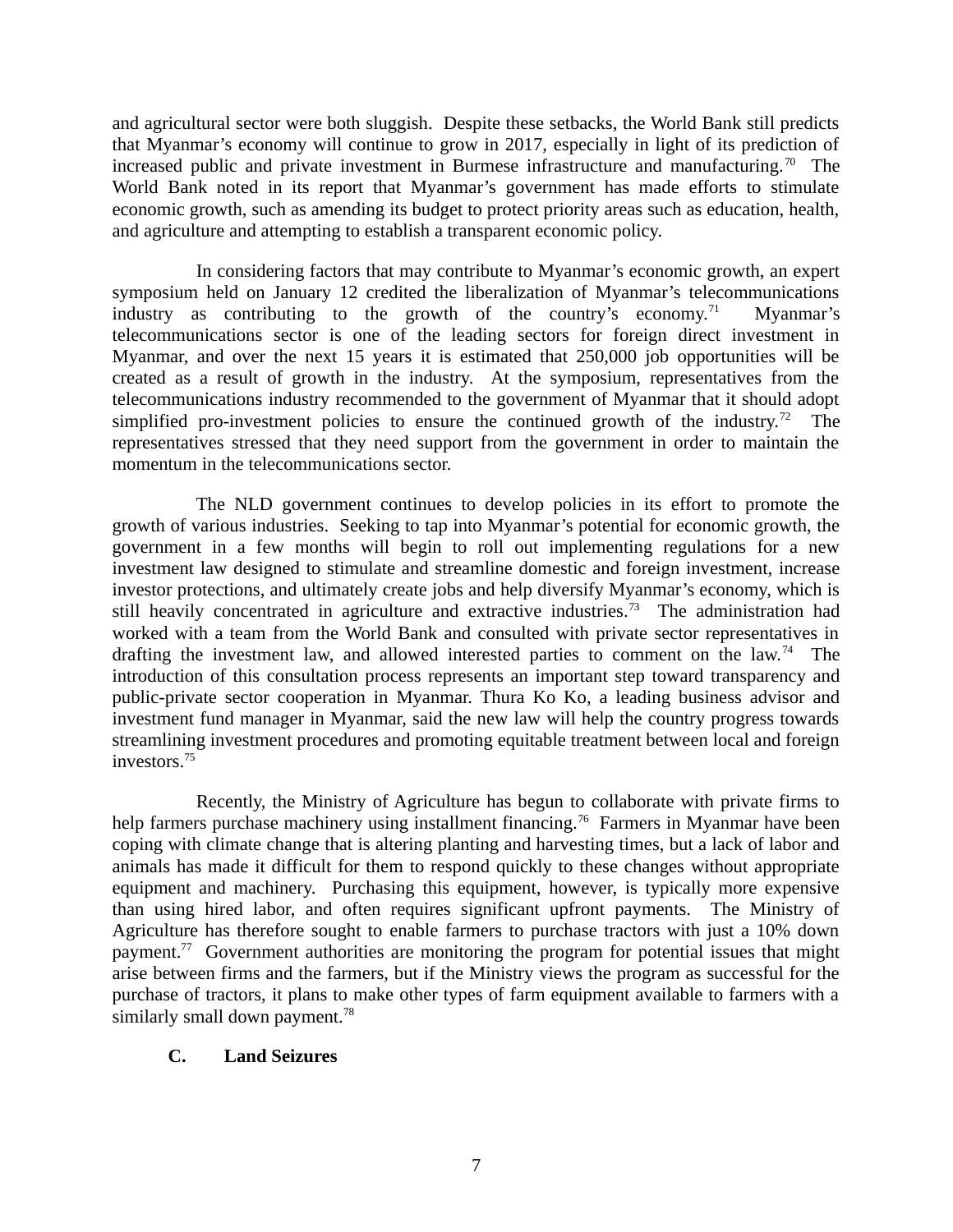and agricultural sector were both sluggish. Despite these setbacks, the World Bank still predicts that Myanmar's economy will continue to grow in 2017, especially in light of its prediction of increased public and private investment in Burmese infrastructure and manufacturing.<sup>70</sup> The World Bank noted in its report that Myanmar's government has made efforts to stimulate economic growth, such as amending its budget to protect priority areas such as education, health, and agriculture and attempting to establish a transparent economic policy.

In considering factors that may contribute to Myanmar's economic growth, an expert symposium held on January 12 credited the liberalization of Myanmar's telecommunications industry as contributing to the growth of the country's economy.<sup>71</sup> Myanmar's telecommunications sector is one of the leading sectors for foreign direct investment in Myanmar, and over the next 15 years it is estimated that 250,000 job opportunities will be created as a result of growth in the industry. At the symposium, representatives from the telecommunications industry recommended to the government of Myanmar that it should adopt simplified pro-investment policies to ensure the continued growth of the industry.<sup>72</sup> The representatives stressed that they need support from the government in order to maintain the momentum in the telecommunications sector.

The NLD government continues to develop policies in its effort to promote the growth of various industries. Seeking to tap into Myanmar's potential for economic growth, the government in a few months will begin to roll out implementing regulations for a new investment law designed to stimulate and streamline domestic and foreign investment, increase investor protections, and ultimately create jobs and help diversify Myanmar's economy, which is still heavily concentrated in agriculture and extractive industries.<sup>73</sup> The administration had worked with a team from the World Bank and consulted with private sector representatives in drafting the investment law, and allowed interested parties to comment on the law.<sup>74</sup> The introduction of this consultation process represents an important step toward transparency and public-private sector cooperation in Myanmar. Thura Ko Ko, a leading business advisor and investment fund manager in Myanmar, said the new law will help the country progress towards streamlining investment procedures and promoting equitable treatment between local and foreign investors.<sup>75</sup>

Recently, the Ministry of Agriculture has begun to collaborate with private firms to help farmers purchase machinery using installment financing.<sup>76</sup> Farmers in Myanmar have been coping with climate change that is altering planting and harvesting times, but a lack of labor and animals has made it difficult for them to respond quickly to these changes without appropriate equipment and machinery. Purchasing this equipment, however, is typically more expensive than using hired labor, and often requires significant upfront payments. The Ministry of Agriculture has therefore sought to enable farmers to purchase tractors with just a 10% down payment.<sup>77</sup> Government authorities are monitoring the program for potential issues that might arise between firms and the farmers, but if the Ministry views the program as successful for the purchase of tractors, it plans to make other types of farm equipment available to farmers with a similarly small down payment. $78$ 

### <span id="page-6-0"></span>**C. Land Seizures**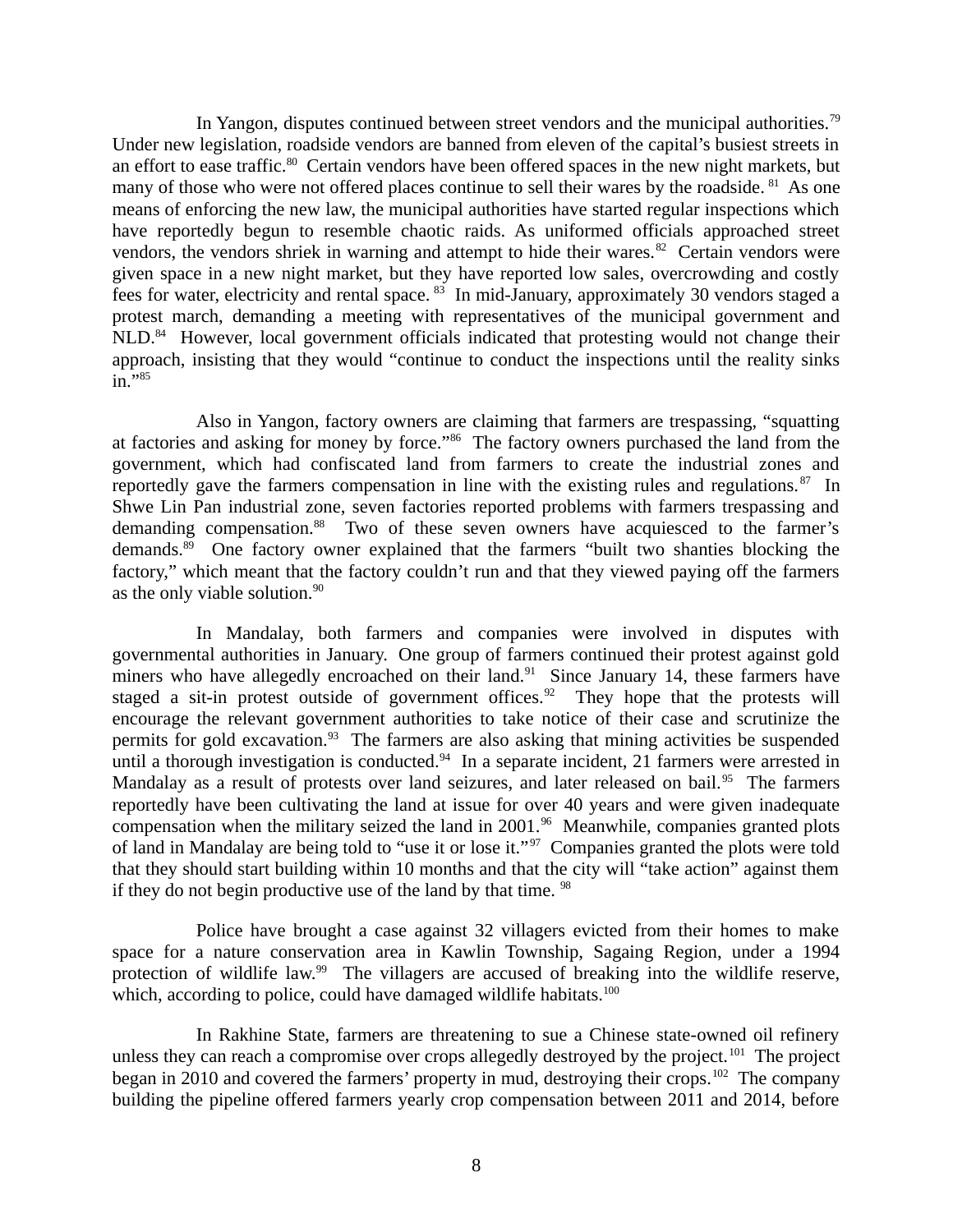In Yangon, disputes continued between street vendors and the municipal authorities.<sup>79</sup> Under new legislation, roadside vendors are banned from eleven of the capital's busiest streets in an effort to ease traffic.<sup>80</sup> Certain vendors have been offered spaces in the new night markets, but many of those who were not offered places continue to sell their wares by the roadside. <sup>81</sup> As one means of enforcing the new law, the municipal authorities have started regular inspections which have reportedly begun to resemble chaotic raids. As uniformed officials approached street vendors, the vendors shriek in warning and attempt to hide their wares. $82$  Certain vendors were given space in a new night market, but they have reported low sales, overcrowding and costly fees for water, electricity and rental space. <sup>83</sup> In mid-January, approximately 30 vendors staged a protest march, demanding a meeting with representatives of the municipal government and NLD.<sup>84</sup> However, local government officials indicated that protesting would not change their approach, insisting that they would "continue to conduct the inspections until the reality sinks in."<sup>85</sup>

Also in Yangon, factory owners are claiming that farmers are trespassing, "squatting at factories and asking for money by force."<sup>86</sup> The factory owners purchased the land from the government, which had confiscated land from farmers to create the industrial zones and reportedly gave the farmers compensation in line with the existing rules and regulations. $87$  In Shwe Lin Pan industrial zone, seven factories reported problems with farmers trespassing and demanding compensation.<sup>88</sup> Two of these seven owners have acquiesced to the farmer's demands.<sup>89</sup> One factory owner explained that the farmers "built two shanties blocking the factory," which meant that the factory couldn't run and that they viewed paying off the farmers as the only viable solution. $90$ 

In Mandalay, both farmers and companies were involved in disputes with governmental authorities in January. One group of farmers continued their protest against gold miners who have allegedly encroached on their land. $91$  Since January 14, these farmers have staged a sit-in protest outside of government offices.<sup>92</sup> They hope that the protests will encourage the relevant government authorities to take notice of their case and scrutinize the permits for gold excavation.<sup>93</sup> The farmers are also asking that mining activities be suspended until a thorough investigation is conducted. $94$  In a separate incident, 21 farmers were arrested in Mandalay as a result of protests over land seizures, and later released on bail.<sup>95</sup> The farmers reportedly have been cultivating the land at issue for over 40 years and were given inadequate compensation when the military seized the land in 2001.<sup>96</sup> Meanwhile, companies granted plots of land in Mandalay are being told to "use it or lose it."<sup>97</sup> Companies granted the plots were told that they should start building within 10 months and that the city will "take action" against them if they do not begin productive use of the land by that time.  $98$ 

Police have brought a case against 32 villagers evicted from their homes to make space for a nature conservation area in Kawlin Township, Sagaing Region, under a 1994 protection of wildlife law.<sup>99</sup> The villagers are accused of breaking into the wildlife reserve, which, according to police, could have damaged wildlife habitats.<sup>100</sup>

In Rakhine State, farmers are threatening to sue a Chinese state-owned oil refinery unless they can reach a compromise over crops allegedly destroyed by the project.<sup>101</sup> The project began in 2010 and covered the farmers' property in mud, destroying their crops.<sup>102</sup> The company building the pipeline offered farmers yearly crop compensation between 2011 and 2014, before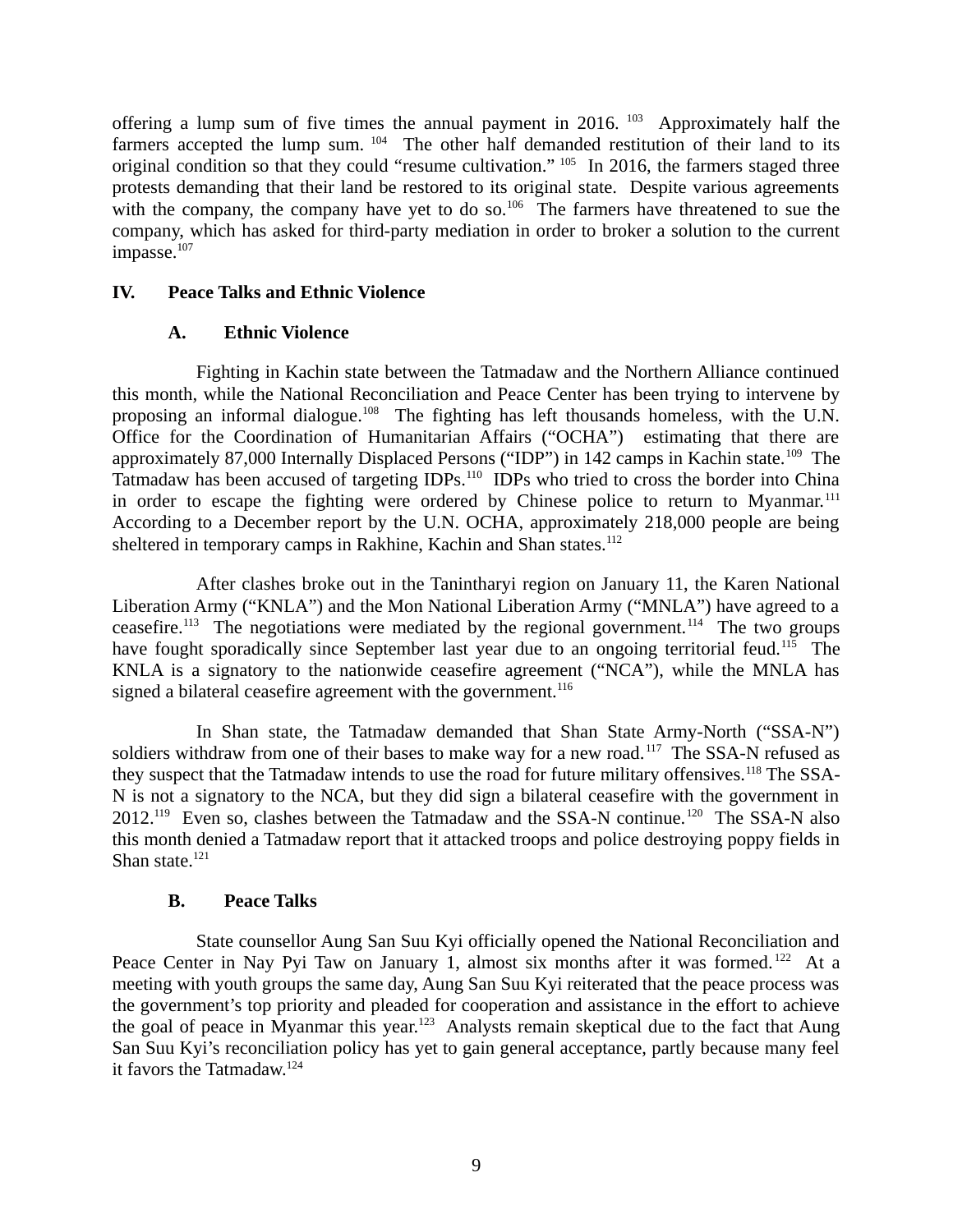offering a lump sum of five times the annual payment in 2016. <sup>103</sup> Approximately half the farmers accepted the lump sum.  $104$  The other half demanded restitution of their land to its original condition so that they could "resume cultivation." <sup>105</sup> In 2016, the farmers staged three protests demanding that their land be restored to its original state. Despite various agreements with the company, the company have yet to do so.<sup>106</sup> The farmers have threatened to sue the company, which has asked for third-party mediation in order to broker a solution to the current impasse.<sup>107</sup>

### **IV. Peace Talks and Ethnic Violence**

### <span id="page-8-2"></span><span id="page-8-1"></span>**A. Ethnic Violence**

Fighting in Kachin state between the Tatmadaw and the Northern Alliance continued this month, while the National Reconciliation and Peace Center has been trying to intervene by proposing an informal dialogue.<sup>108</sup> The fighting has left thousands homeless, with the U.N. Office for the Coordination of Humanitarian Affairs ("OCHA") estimating that there are approximately 87,000 Internally Displaced Persons ("IDP") in 142 camps in Kachin state.<sup>109</sup> The Tatmadaw has been accused of targeting IDPs.<sup>110</sup> IDPs who tried to cross the border into China in order to escape the fighting were ordered by Chinese police to return to Myanmar.<sup>111</sup> According to a December report by the U.N. OCHA, approximately 218,000 people are being sheltered in temporary camps in Rakhine, Kachin and Shan states.<sup>112</sup>

After clashes broke out in the Tanintharyi region on January 11, the Karen National Liberation Army ("KNLA") and the Mon National Liberation Army ("MNLA") have agreed to a ceasefire.<sup>113</sup> The negotiations were mediated by the regional government.<sup>114</sup> The two groups have fought sporadically since September last year due to an ongoing territorial feud.<sup>115</sup> The KNLA is a signatory to the nationwide ceasefire agreement ("NCA"), while the MNLA has signed a bilateral ceasefire agreement with the government.<sup>116</sup>

In Shan state, the Tatmadaw demanded that Shan State Army-North ("SSA-N") soldiers withdraw from one of their bases to make way for a new road.<sup>117</sup> The SSA-N refused as they suspect that the Tatmadaw intends to use the road for future military offensives.<sup>118</sup> The SSA-N is not a signatory to the NCA, but they did sign a bilateral ceasefire with the government in 2012.<sup>119</sup> Even so, clashes between the Tatmadaw and the SSA-N continue.<sup>120</sup> The SSA-N also this month denied a Tatmadaw report that it attacked troops and police destroying poppy fields in Shan state. $121$ 

# <span id="page-8-0"></span>**B. Peace Talks**

State counsellor Aung San Suu Kyi officially opened the National Reconciliation and Peace Center in Nay Pyi Taw on January 1, almost six months after it was formed.<sup>122</sup> At a meeting with youth groups the same day, Aung San Suu Kyi reiterated that the peace process was the government's top priority and pleaded for cooperation and assistance in the effort to achieve the goal of peace in Myanmar this year.<sup>123</sup> Analysts remain skeptical due to the fact that Aung San Suu Kyi's reconciliation policy has yet to gain general acceptance, partly because many feel it favors the Tatmadaw.<sup>124</sup>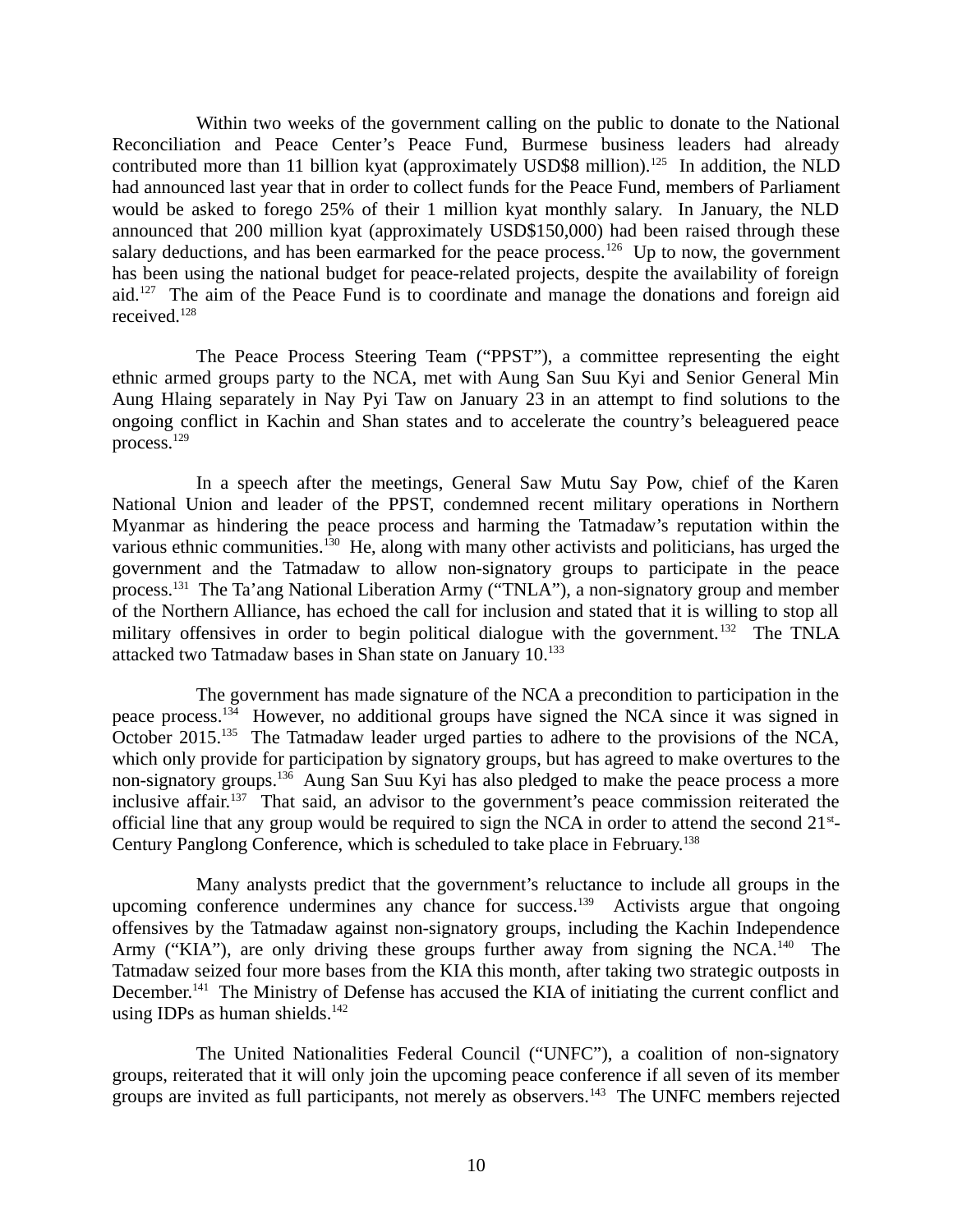Within two weeks of the government calling on the public to donate to the National Reconciliation and Peace Center's Peace Fund, Burmese business leaders had already contributed more than 11 billion kyat (approximately USD\$8 million).<sup>125</sup> In addition, the NLD had announced last year that in order to collect funds for the Peace Fund, members of Parliament would be asked to forego 25% of their 1 million kyat monthly salary. In January, the NLD announced that 200 million kyat (approximately USD\$150,000) had been raised through these salary deductions, and has been earmarked for the peace process.<sup>126</sup> Up to now, the government has been using the national budget for peace-related projects, despite the availability of foreign aid.<sup>127</sup> The aim of the Peace Fund is to coordinate and manage the donations and foreign aid received.<sup>128</sup>

The Peace Process Steering Team ("PPST"), a committee representing the eight ethnic armed groups party to the NCA, met with Aung San Suu Kyi and Senior General Min Aung Hlaing separately in Nay Pyi Taw on January 23 in an attempt to find solutions to the ongoing conflict in Kachin and Shan states and to accelerate the country's beleaguered peace process. $^{129}$ 

In a speech after the meetings, General Saw Mutu Say Pow, chief of the Karen National Union and leader of the PPST, condemned recent military operations in Northern Myanmar as hindering the peace process and harming the Tatmadaw's reputation within the various ethnic communities.<sup>130</sup> He, along with many other activists and politicians, has urged the government and the Tatmadaw to allow non-signatory groups to participate in the peace process.<sup>131</sup> The Ta'ang National Liberation Army ("TNLA"), a non-signatory group and member of the Northern Alliance, has echoed the call for inclusion and stated that it is willing to stop all military offensives in order to begin political dialogue with the government.<sup>132</sup> The TNLA attacked two Tatmadaw bases in Shan state on January  $10.^{133}$ 

The government has made signature of the NCA a precondition to participation in the peace process.<sup>134</sup> However, no additional groups have signed the NCA since it was signed in October 2015.<sup>135</sup> The Tatmadaw leader urged parties to adhere to the provisions of the NCA, which only provide for participation by signatory groups, but has agreed to make overtures to the non-signatory groups.<sup>136</sup> Aung San Suu Kyi has also pledged to make the peace process a more inclusive affair.<sup>137</sup> That said, an advisor to the government's peace commission reiterated the official line that any group would be required to sign the NCA in order to attend the second  $21^{st}$ -Century Panglong Conference, which is scheduled to take place in February.<sup>138</sup>

Many analysts predict that the government's reluctance to include all groups in the upcoming conference undermines any chance for success.<sup>139</sup> Activists argue that ongoing offensives by the Tatmadaw against non-signatory groups, including the Kachin Independence Army ("KIA"), are only driving these groups further away from signing the NCA.<sup>140</sup> The Tatmadaw seized four more bases from the KIA this month, after taking two strategic outposts in December.<sup>141</sup> The Ministry of Defense has accused the KIA of initiating the current conflict and using IDPs as human shields. $142$ 

The United Nationalities Federal Council ("UNFC"), a coalition of non-signatory groups, reiterated that it will only join the upcoming peace conference if all seven of its member groups are invited as full participants, not merely as observers.<sup>143</sup> The UNFC members rejected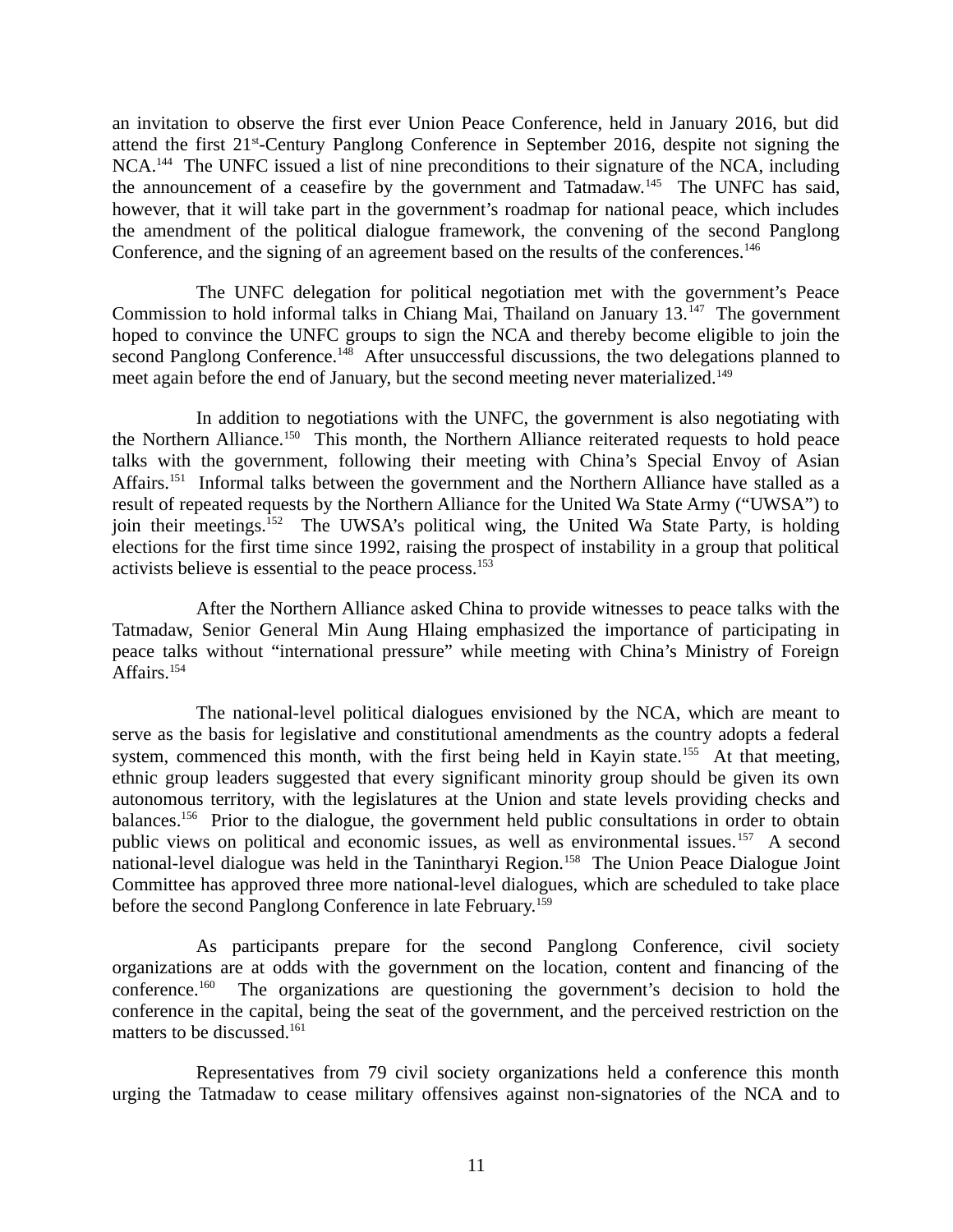an invitation to observe the first ever Union Peace Conference, held in January 2016, but did attend the first  $21<sup>st</sup>$ -Century Panglong Conference in September 2016, despite not signing the NCA.<sup>144</sup> The UNFC issued a list of nine preconditions to their signature of the NCA, including the announcement of a ceasefire by the government and Tatmadaw.<sup>145</sup> The UNFC has said, however, that it will take part in the government's roadmap for national peace, which includes the amendment of the political dialogue framework, the convening of the second Panglong Conference, and the signing of an agreement based on the results of the conferences.<sup>146</sup>

The UNFC delegation for political negotiation met with the government's Peace Commission to hold informal talks in Chiang Mai, Thailand on January  $13.^{147}$  The government hoped to convince the UNFC groups to sign the NCA and thereby become eligible to join the second Panglong Conference.<sup>148</sup> After unsuccessful discussions, the two delegations planned to meet again before the end of January, but the second meeting never materialized.<sup>149</sup>

In addition to negotiations with the UNFC, the government is also negotiating with the Northern Alliance.<sup>150</sup> This month, the Northern Alliance reiterated requests to hold peace talks with the government, following their meeting with China's Special Envoy of Asian Affairs.<sup>151</sup> Informal talks between the government and the Northern Alliance have stalled as a result of repeated requests by the Northern Alliance for the United Wa State Army ("UWSA") to join their meetings.<sup>152</sup> The UWSA's political wing, the United Wa State Party, is holding elections for the first time since 1992, raising the prospect of instability in a group that political activists believe is essential to the peace process.<sup>153</sup>

After the Northern Alliance asked China to provide witnesses to peace talks with the Tatmadaw, Senior General Min Aung Hlaing emphasized the importance of participating in peace talks without "international pressure" while meeting with China's Ministry of Foreign Affairs.<sup>154</sup>

The national-level political dialogues envisioned by the NCA, which are meant to serve as the basis for legislative and constitutional amendments as the country adopts a federal system, commenced this month, with the first being held in Kayin state.<sup>155</sup> At that meeting, ethnic group leaders suggested that every significant minority group should be given its own autonomous territory, with the legislatures at the Union and state levels providing checks and balances.<sup>156</sup> Prior to the dialogue, the government held public consultations in order to obtain public views on political and economic issues, as well as environmental issues.<sup>157</sup> A second national-level dialogue was held in the Tanintharyi Region.<sup>158</sup> The Union Peace Dialogue Joint Committee has approved three more national-level dialogues, which are scheduled to take place before the second Panglong Conference in late February.<sup>159</sup>

As participants prepare for the second Panglong Conference, civil society organizations are at odds with the government on the location, content and financing of the conference.<sup>160</sup> The organizations are questioning the government's decision to hold the conference in the capital, being the seat of the government, and the perceived restriction on the matters to be discussed.<sup>161</sup>

Representatives from 79 civil society organizations held a conference this month urging the Tatmadaw to cease military offensives against non-signatories of the NCA and to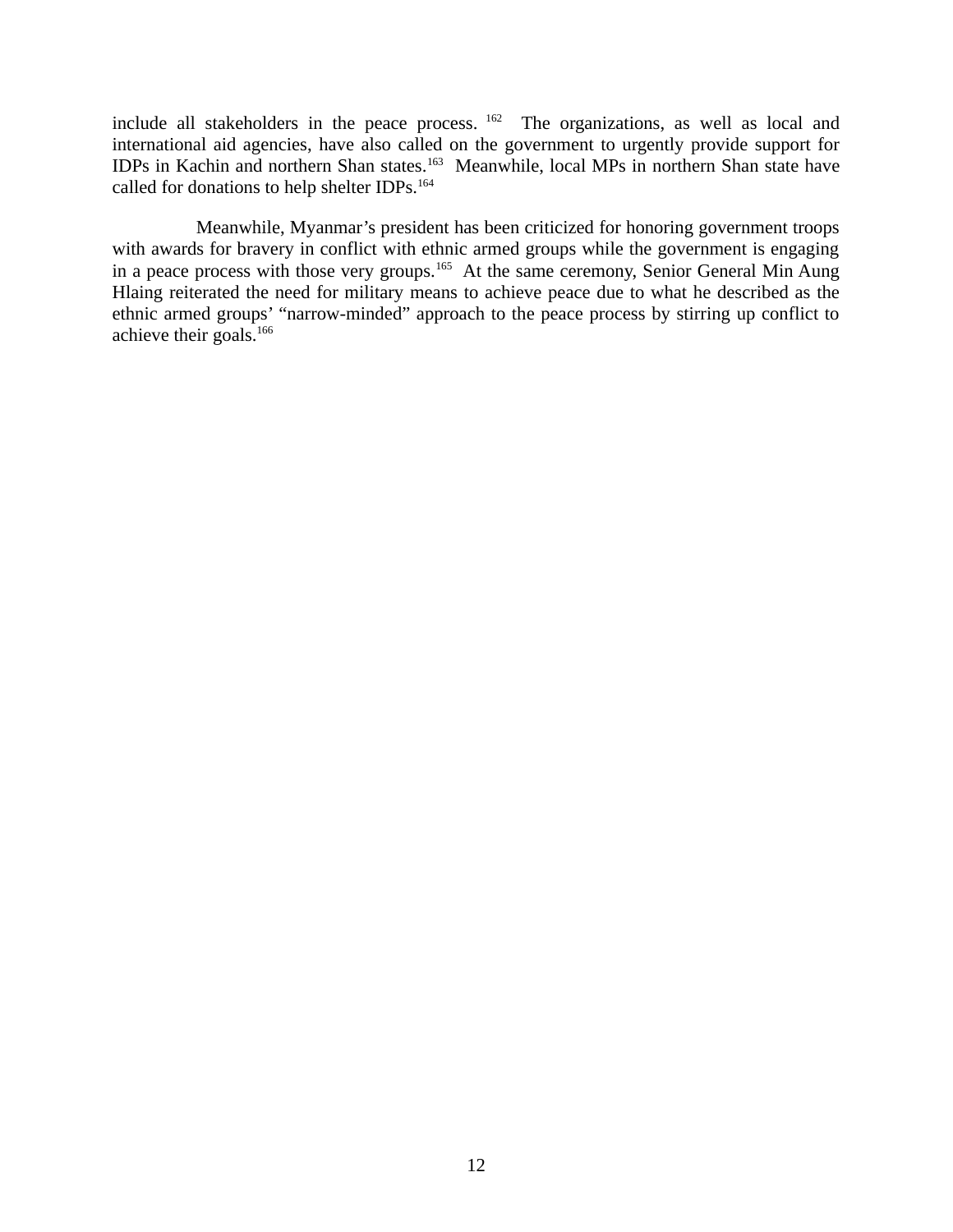include all stakeholders in the peace process. <sup>162</sup> The organizations, as well as local and international aid agencies, have also called on the government to urgently provide support for IDPs in Kachin and northern Shan states.<sup>163</sup> Meanwhile, local MPs in northern Shan state have called for donations to help shelter IDPs.<sup>164</sup>

Meanwhile, Myanmar's president has been criticized for honoring government troops with awards for bravery in conflict with ethnic armed groups while the government is engaging in a peace process with those very groups.<sup>165</sup> At the same ceremony, Senior General Min Aung Hlaing reiterated the need for military means to achieve peace due to what he described as the ethnic armed groups' "narrow-minded" approach to the peace process by stirring up conflict to achieve their goals.<sup>166</sup>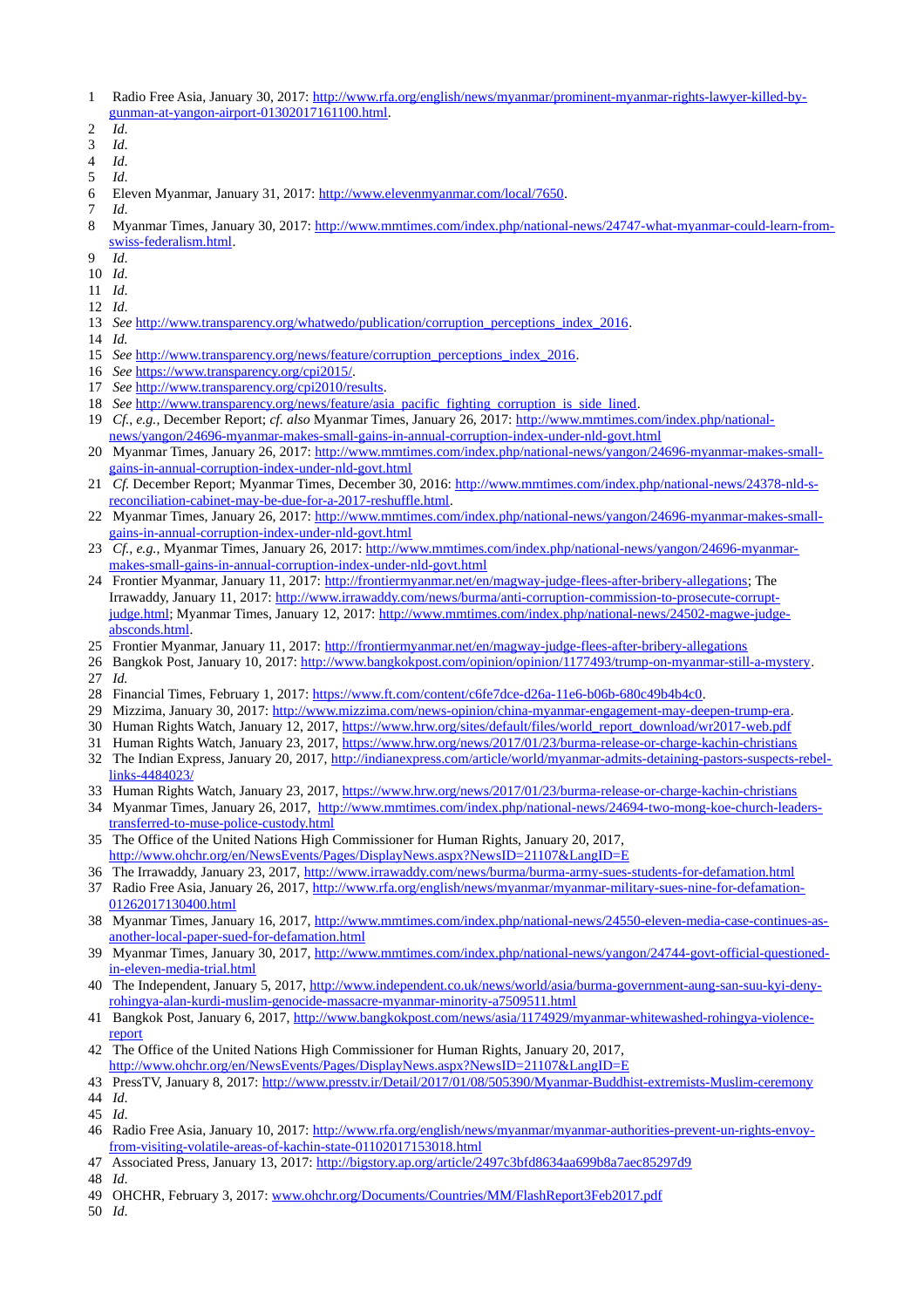- 1 Radio Free Asia, January 30, 2017: [http://www.rfa.org/english/news/myanmar/prominent-myanmar-rights-lawyer-killed-by](http://www.rfa.org/english/news/myanmar/prominent-myanmar-rights-lawyer-killed-by-gunman-at-yangon-airport-01302017161100.html)[gunman-at-yangon-airport-01302017161100.html.](http://www.rfa.org/english/news/myanmar/prominent-myanmar-rights-lawyer-killed-by-gunman-at-yangon-airport-01302017161100.html)
- 2 *Id*.
- 3 *Id*.
- 4 *Id*.
- 5 *Id*.
- 6 Eleven Myanmar, January 31, 2017: [http://www.elevenmyanmar.com/local/7650.](http://www.elevenmyanmar.com/local/7650)
- 7 *Id*.
- 8 Myanmar Times, January 30, 2017: [http://www.mmtimes.com/index.php/national-news/24747-what-myanmar-could-learn-from](http://www.mmtimes.com/index.php/national-news/24747-what-myanmar-could-learn-from-swiss-federalism.html)[swiss-federalism.html.](http://www.mmtimes.com/index.php/national-news/24747-what-myanmar-could-learn-from-swiss-federalism.html)
- 9 *Id*.
- 10 *Id*.
- 11 *Id*.
- 12 *Id*.
- 13 *See* [http://www.transparency.org/whatwedo/publication/corruption\\_perceptions\\_index\\_2016.](http://www.transparency.org/whatwedo/publication/corruption_perceptions_index_2016)
- 14 *Id.*
- 15 *See* [http://www.transparency.org/news/feature/corruption\\_perceptions\\_index\\_2016.](http://www.transparency.org/news/feature/corruption_perceptions_index_2016)
- 16 *See* [https://www.transparency.org/cpi2015/.](https://www.transparency.org/cpi2015/)
- 17 *See* [http://www.transparency.org/cpi2010/results.](http://www.transparency.org/cpi2010/results)
- 18 See [http://www.transparency.org/news/feature/asia\\_pacific\\_fighting\\_corruption\\_is\\_side\\_lined.](http://www.transparency.org/news/feature/asia_pacific_fighting_corruption_is_side_lined)
- 19 *Cf.*, *e.g.*, December Report; *cf. also* Myanmar Times, January 26, 2017: [http://www.mmtimes.com/index.php/national](http://www.mmtimes.com/index.php/national-news/yangon/24696-myanmar-makes-small-gains-in-annual-corruption-index-under-nld-govt.html)[news/yangon/24696-myanmar-makes-small-gains-in-annual-corruption-index-under-nld-govt.html](http://www.mmtimes.com/index.php/national-news/yangon/24696-myanmar-makes-small-gains-in-annual-corruption-index-under-nld-govt.html)
- 20 Myanmar Times, January 26, 2017: [http://www.mmtimes.com/index.php/national-news/yangon/24696-myanmar-makes-small](http://www.mmtimes.com/index.php/national-news/yangon/24696-myanmar-makes-small-gains-in-annual-corruption-index-under-nld-govt.html)[gains-in-annual-corruption-index-under-nld-govt.html](http://www.mmtimes.com/index.php/national-news/yangon/24696-myanmar-makes-small-gains-in-annual-corruption-index-under-nld-govt.html)
- 21 *Cf.* December Report; Myanmar Times, December 30, 2016: [http://www.mmtimes.com/index.php/national-news/24378-nld-s](http://www.mmtimes.com/index.php/national-news/24378-nld-s-reconciliation-cabinet-may-be-due-for-a-2017-reshuffle.html)[reconciliation-cabinet-may-be-due-for-a-2017-reshuffle.html.](http://www.mmtimes.com/index.php/national-news/24378-nld-s-reconciliation-cabinet-may-be-due-for-a-2017-reshuffle.html)
- 22 Myanmar Times, January 26, 2017: [http://www.mmtimes.com/index.php/national-news/yangon/24696-myanmar-makes-small](http://www.mmtimes.com/index.php/national-news/yangon/24696-myanmar-makes-small-gains-in-annual-corruption-index-under-nld-govt.html)[gains-in-annual-corruption-index-under-nld-govt.html](http://www.mmtimes.com/index.php/national-news/yangon/24696-myanmar-makes-small-gains-in-annual-corruption-index-under-nld-govt.html)
- 23 *Cf., e.g.,* Myanmar Times, January 26, 2017: [http://www.mmtimes.com/index.php/national-news/yangon/24696-myanmar](http://www.mmtimes.com/index.php/national-news/yangon/24696-myanmar-makes-small-gains-in-annual-corruption-index-under-nld-govt.html)[makes-small-gains-in-annual-corruption-index-under-nld-govt.html](http://www.mmtimes.com/index.php/national-news/yangon/24696-myanmar-makes-small-gains-in-annual-corruption-index-under-nld-govt.html)
- 24 Frontier Myanmar, January 11, 2017: [http://frontiermyanmar.net/en/magway-judge-flees-after-bribery-allegations;](http://frontiermyanmar.net/en/magway-judge-flees-after-bribery-allegations) The Irrawaddy, January 11, 2017: [http://www.irrawaddy.com/news/burma/anti-corruption-commission-to-prosecute-corrupt](http://www.irrawaddy.com/news/burma/anti-corruption-commission-to-prosecute-corrupt-judge.html)[judge.html;](http://www.irrawaddy.com/news/burma/anti-corruption-commission-to-prosecute-corrupt-judge.html) Myanmar Times, January 12, 2017: [http://www.mmtimes.com/index.php/national-news/24502-magwe-judge](http://www.mmtimes.com/index.php/national-news/24502-magwe-judge-absconds.html)[absconds.html.](http://www.mmtimes.com/index.php/national-news/24502-magwe-judge-absconds.html)
- 25 Frontier Myanmar, January 11, 2017:<http://frontiermyanmar.net/en/magway-judge-flees-after-bribery-allegations>
- 26 Bangkok Post, January 10, 2017: [http://www.bangkokpost.com/opinion/opinion/1177493/trump-on-myanmar-still-a-mystery.](http://www.bangkokpost.com/opinion/opinion/1177493/trump-on-myanmar-still-a-mystery) 27 *Id.*
- 28 Financial Times, February 1, 2017: [https://www.ft.com/content/c6fe7dce-d26a-11e6-b06b-680c49b4b4c0.](https://www.ft.com/content/c6fe7dce-d26a-11e6-b06b-680c49b4b4c0)
- 29 Mizzima, January 30, 2017: [http://www.mizzima.com/news-opinion/china-myanmar-engagement-may-deepen-trump-era.](http://www.mizzima.com/news-opinion/china-myanmar-engagement-may-deepen-trump-era)
- 30 Human Rights Watch, January 12, 2017, [https://www.hrw.org/sites/default/files/world\\_report\\_download/wr2017-web.pdf](https://www.hrw.org/sites/default/files/world_report_download/wr2017-web.pdf)
- 31 Human Rights Watch, January 23, 2017,<https://www.hrw.org/news/2017/01/23/burma-release-or-charge-kachin-christians>
- 32 The Indian Express, January 20, 2017, [http://indianexpress.com/article/world/myanmar-admits-detaining-pastors-suspects-rebel](http://indianexpress.com/article/world/myanmar-admits-detaining-pastors-suspects-rebel-links-4484023/)[links-4484023/](http://indianexpress.com/article/world/myanmar-admits-detaining-pastors-suspects-rebel-links-4484023/)
- 33 Human Rights Watch, January 23, 2017,<https://www.hrw.org/news/2017/01/23/burma-release-or-charge-kachin-christians>
- 34 Myanmar Times, January 26, 2017, [http://www.mmtimes.com/index.php/national-news/24694-two-mong-koe-church-leaders](http://www.mmtimes.com/index.php/national-news/24694-two-mong-koe-church-leaders-transferred-to-muse-police-custody.html)[transferred-to-muse-police-custody.html](http://www.mmtimes.com/index.php/national-news/24694-two-mong-koe-church-leaders-transferred-to-muse-police-custody.html)
- 35 The Office of the United Nations High Commissioner for Human Rights, January 20, 2017, <http://www.ohchr.org/en/NewsEvents/Pages/DisplayNews.aspx?NewsID=21107&LangID=E>
- 36 The Irrawaddy, January 23, 2017,<http://www.irrawaddy.com/news/burma/burma-army-sues-students-for-defamation.html>
- 37 Radio Free Asia, January 26, 2017, [http://www.rfa.org/english/news/myanmar/myanmar-military-sues-nine-for-defamation-](http://www.rfa.org/english/news/myanmar/myanmar-military-sues-nine-for-defamation-01262017130400.html)[01262017130400.html](http://www.rfa.org/english/news/myanmar/myanmar-military-sues-nine-for-defamation-01262017130400.html)
- 38 Myanmar Times, January 16, 2017, [http://www.mmtimes.com/index.php/national-news/24550-eleven-media-case-continues-as](http://www.mmtimes.com/index.php/national-news/24550-eleven-media-case-continues-as-another-local-paper-sued-for-defamation.html)[another-local-paper-sued-for-defamation.html](http://www.mmtimes.com/index.php/national-news/24550-eleven-media-case-continues-as-another-local-paper-sued-for-defamation.html)
- 39 Myanmar Times, January 30, 2017, [http://www.mmtimes.com/index.php/national-news/yangon/24744-govt-official-questioned](http://www.mmtimes.com/index.php/national-news/yangon/24744-govt-official-questioned-in-eleven-media-trial.html)[in-eleven-media-trial.html](http://www.mmtimes.com/index.php/national-news/yangon/24744-govt-official-questioned-in-eleven-media-trial.html)
- 40 The Independent, January 5, 2017, [http://www.independent.co.uk/news/world/asia/burma-government-aung-san-suu-kyi-deny](http://www.independent.co.uk/news/world/asia/burma-government-aung-san-suu-kyi-deny-rohingya-alan-kurdi-muslim-genocide-massacre-myanmar-minority-a7509511.html)[rohingya-alan-kurdi-muslim-genocide-massacre-myanmar-minority-a7509511.html](http://www.independent.co.uk/news/world/asia/burma-government-aung-san-suu-kyi-deny-rohingya-alan-kurdi-muslim-genocide-massacre-myanmar-minority-a7509511.html)
- 41 Bangkok Post, January 6, 2017, [http://www.bangkokpost.com/news/asia/1174929/myanmar-whitewashed-rohingya-violence](http://www.bangkokpost.com/news/asia/1174929/myanmar-whitewashed-rohingya-violence-report)[report](http://www.bangkokpost.com/news/asia/1174929/myanmar-whitewashed-rohingya-violence-report)
- 42 The Office of the United Nations High Commissioner for Human Rights, January 20, 2017, <http://www.ohchr.org/en/NewsEvents/Pages/DisplayNews.aspx?NewsID=21107&LangID=E>
- 43 PressTV, January 8, 2017:<http://www.presstv.ir/Detail/2017/01/08/505390/Myanmar-Buddhist-extremists-Muslim-ceremony> 44 *Id*.
- 45 *Id*.
- 46 Radio Free Asia, January 10, 2017: [http://www.rfa.org/english/news/myanmar/myanmar-authorities-prevent-un-rights-envoy](http://www.rfa.org/english/news/myanmar/myanmar-authorities-prevent-un-rights-envoy-from-visiting-volatile-areas-of-kachin-state-01102017153018.html)[from-visiting-volatile-areas-of-kachin-state-01102017153018.html](http://www.rfa.org/english/news/myanmar/myanmar-authorities-prevent-un-rights-envoy-from-visiting-volatile-areas-of-kachin-state-01102017153018.html)
- 47 Associated Press, January 13, 2017:<http://bigstory.ap.org/article/2497c3bfd8634aa699b8a7aec85297d9>
- 48 *Id*.
- 49 OHCHR, February 3, 2017: [www.ohchr.org/Documents/Countries/MM/FlashReport3Feb2017.pdf](http://www.ohchr.org/Documents/Countries/MM/FlashReport3Feb2017.pdf)
- 50 *Id*.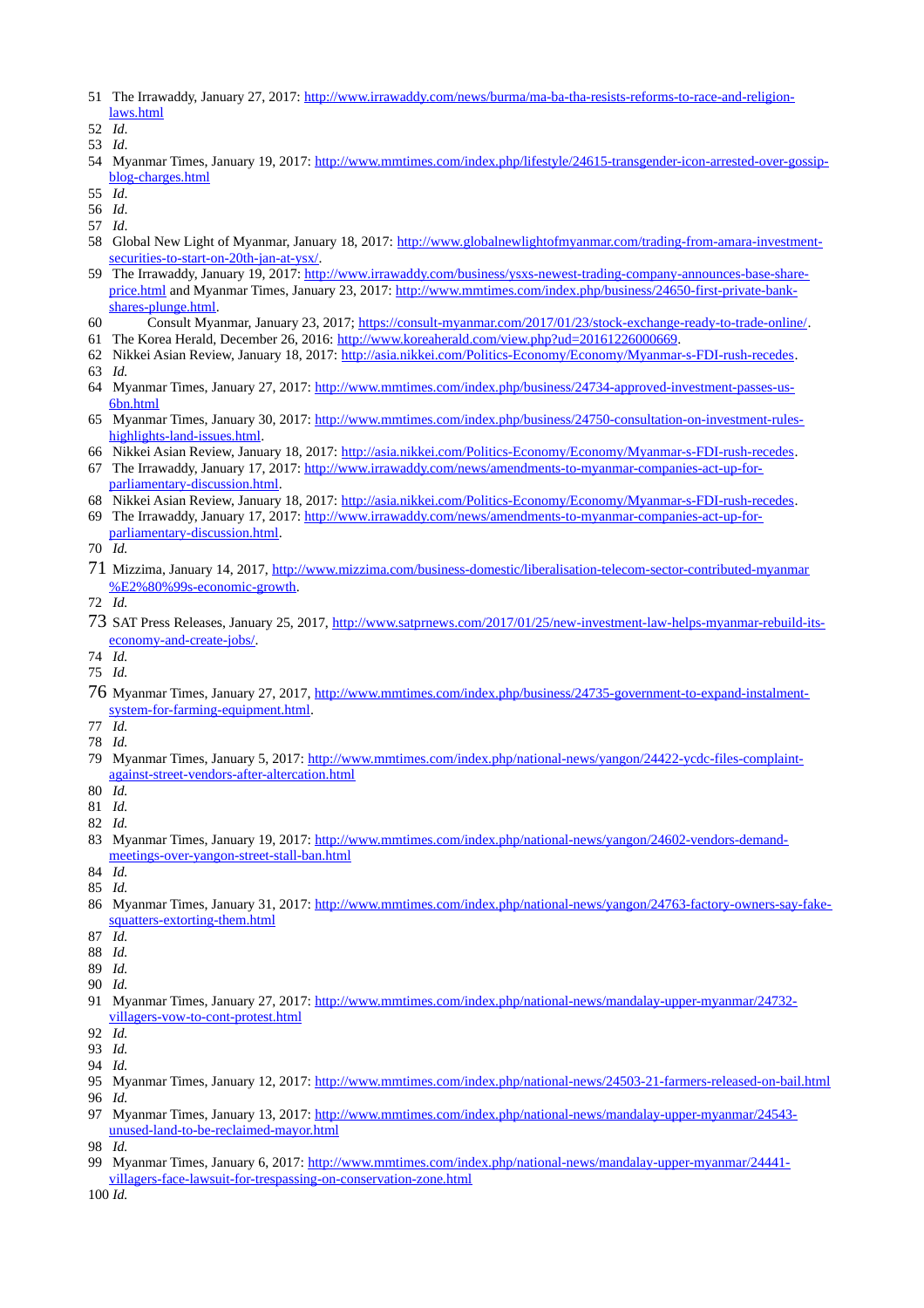- 51 The Irrawaddy, January 27, 2017: [http://www.irrawaddy.com/news/burma/ma-ba-tha-resists-reforms-to-race-and-religion](http://www.irrawaddy.com/news/burma/ma-ba-tha-resists-reforms-to-race-and-religion-laws.html)[laws.html](http://www.irrawaddy.com/news/burma/ma-ba-tha-resists-reforms-to-race-and-religion-laws.html)
- 52 *Id*.
- 53 *Id*.
- 54 Myanmar Times, January 19, 2017: [http://www.mmtimes.com/index.php/lifestyle/24615-transgender-icon-arrested-over-gossip](http://www.mmtimes.com/index.php/lifestyle/24615-transgender-icon-arrested-over-gossip-blog-charges.html)[blog-charges.html](http://www.mmtimes.com/index.php/lifestyle/24615-transgender-icon-arrested-over-gossip-blog-charges.html)
- 55 *Id*.
- 56 *Id*.
- 57 *Id*.
- 58 Global New Light of Myanmar, January 18, 2017: [http://www.globalnewlightofmyanmar.com/trading-from-amara-investment](http://www.globalnewlightofmyanmar.com/trading-from-amara-investment-securities-to-start-on-20th-jan-at-ysx/)[securities-to-start-on-20th-jan-at-ysx/.](http://www.globalnewlightofmyanmar.com/trading-from-amara-investment-securities-to-start-on-20th-jan-at-ysx/)
- 59 The Irrawaddy, January 19, 2017: [http://www.irrawaddy.com/business/ysxs-newest-trading-company-announces-base-share](http://www.irrawaddy.com/business/ysxs-newest-trading-company-announces-base-share-price.html)[price.html](http://www.irrawaddy.com/business/ysxs-newest-trading-company-announces-base-share-price.html) and Myanmar Times, January 23, 2017: [http://www.mmtimes.com/index.php/business/24650-first-private-bank](http://www.mmtimes.com/index.php/business/24650-first-private-bank-shares-plunge.html)[shares-plunge.html.](http://www.mmtimes.com/index.php/business/24650-first-private-bank-shares-plunge.html)
- 60 Consult Myanmar, January 23, 2017; [https://consult-myanmar.com/2017/01/23/stock-exchange-ready-to-trade-online/.](https://consult-myanmar.com/2017/01/23/stock-exchange-ready-to-trade-online/)
- 61 The Korea Herald, December 26, 2016: [http://www.koreaherald.com/view.php?ud=20161226000669.](http://www.koreaherald.com/view.php?ud=20161226000669)
- 62 Nikkei Asian Review, January 18, 2017: [http://asia.nikkei.com/Politics-Economy/Economy/Myanmar-s-FDI-rush-recedes.](http://asia.nikkei.com/Politics-Economy/Economy/Myanmar-s-FDI-rush-recedes)
- 63 *Id.*
- 64 Myanmar Times, January 27, 2017: [http://www.mmtimes.com/index.php/business/24734-approved-investment-passes-us-](http://www.mmtimes.com/index.php/business/24734-approved-investment-passes-us-6bn.html)[6bn.html](http://www.mmtimes.com/index.php/business/24734-approved-investment-passes-us-6bn.html)
- 65 Myanmar Times, January 30, 2017: [http://www.mmtimes.com/index.php/business/24750-consultation-on-investment-rules](http://www.mmtimes.com/index.php/business/24750-consultation-on-investment-rules-highlights-land-issues.html)[highlights-land-issues.html.](http://www.mmtimes.com/index.php/business/24750-consultation-on-investment-rules-highlights-land-issues.html)
- 66 Nikkei Asian Review, January 18, 2017: [http://asia.nikkei.com/Politics-Economy/Economy/Myanmar-s-FDI-rush-recedes.](http://asia.nikkei.com/Politics-Economy/Economy/Myanmar-s-FDI-rush-recedes)
- 67 The Irrawaddy, January 17, 2017: [http://www.irrawaddy.com/news/amendments-to-myanmar-companies-act-up-for](http://www.irrawaddy.com/news/amendments-to-myanmar-companies-act-up-for-parliamentary-discussion.html)[parliamentary-discussion.html.](http://www.irrawaddy.com/news/amendments-to-myanmar-companies-act-up-for-parliamentary-discussion.html)
- 68 Nikkei Asian Review, January 18, 2017: [http://asia.nikkei.com/Politics-Economy/Economy/Myanmar-s-FDI-rush-recedes.](http://asia.nikkei.com/Politics-Economy/Economy/Myanmar-s-FDI-rush-recedes)
- 69 The Irrawaddy, January 17, 2017: [http://www.irrawaddy.com/news/amendments-to-myanmar-companies-act-up-for](http://www.irrawaddy.com/news/amendments-to-myanmar-companies-act-up-for-parliamentary-discussion.html)[parliamentary-discussion.html.](http://www.irrawaddy.com/news/amendments-to-myanmar-companies-act-up-for-parliamentary-discussion.html)
- 70 *Id.*
- 71 Mizzima, January 14, 2017, [http://www.mizzima.com/business-domestic/liberalisation-telecom-sector-contributed-myanmar](http://www.mizzima.com/business-domestic/liberalisation-telecom-sector-contributed-myanmar%E2%80%99s-economic-growth) [%E2%80%99s-economic-growth.](http://www.mizzima.com/business-domestic/liberalisation-telecom-sector-contributed-myanmar%E2%80%99s-economic-growth)
- 72 *Id.*
- 73 SAT Press Releases, January 25, 2017, [http://www.satprnews.com/2017/01/25/new-investment-law-helps-myanmar-rebuild-its](http://www.satprnews.com/2017/01/25/new-investment-law-helps-myanmar-rebuild-its-economy-and-create-jobs/)[economy-and-create-jobs/.](http://www.satprnews.com/2017/01/25/new-investment-law-helps-myanmar-rebuild-its-economy-and-create-jobs/)
- 74 *Id.*
- 75 *Id.*
- 76 Myanmar Times, January 27, 2017, [http://www.mmtimes.com/index.php/business/24735-government-to-expand-instalment](http://www.mmtimes.com/index.php/business/24735-government-to-expand-instalment-system-for-farming-equipment.html)[system-for-farming-equipment.html.](http://www.mmtimes.com/index.php/business/24735-government-to-expand-instalment-system-for-farming-equipment.html)
- 77 *Id.*
- 78 *Id.*
- 79 Myanmar Times, January 5, 2017: [http://www.mmtimes.com/index.php/national-news/yangon/24422-ycdc-files-complaint](http://www.mmtimes.com/index.php/national-news/yangon/24422-ycdc-files-complaint-against-street-vendors-after-altercation.html)[against-street-vendors-after-altercation.html](http://www.mmtimes.com/index.php/national-news/yangon/24422-ycdc-files-complaint-against-street-vendors-after-altercation.html)
- 80 *Id.*
- 81 *Id.*
- 82 *Id.*
- 83 Myanmar Times, January 19, 2017: [http://www.mmtimes.com/index.php/national-news/yangon/24602-vendors-demand](http://www.mmtimes.com/index.php/national-news/yangon/24602-vendors-demand-meetings-over-yangon-street-stall-ban.html)[meetings-over-yangon-street-stall-ban.html](http://www.mmtimes.com/index.php/national-news/yangon/24602-vendors-demand-meetings-over-yangon-street-stall-ban.html)
- 84 *Id.*
- 85 *Id.*
- 86 Myanmar Times, January 31, 2017: [http://www.mmtimes.com/index.php/national-news/yangon/24763-factory-owners-say-fake](http://www.mmtimes.com/index.php/national-news/yangon/24763-factory-owners-say-fake-squatters-extorting-them.html)[squatters-extorting-them.html](http://www.mmtimes.com/index.php/national-news/yangon/24763-factory-owners-say-fake-squatters-extorting-them.html)
- 87 *Id.*
- 88 *Id.*
- 89 *Id.*
- 90 *Id.*
- 91 Myanmar Times, January 27, 2017: [http://www.mmtimes.com/index.php/national-news/mandalay-upper-myanmar/24732](http://www.mmtimes.com/index.php/national-news/mandalay-upper-myanmar/24732-villagers-vow-to-cont-protest.html) [villagers-vow-to-cont-protest.html](http://www.mmtimes.com/index.php/national-news/mandalay-upper-myanmar/24732-villagers-vow-to-cont-protest.html)
- 92 *Id.*
- 93 *Id.*
- 94 *Id.*
- 95 Myanmar Times, January 12, 2017:<http://www.mmtimes.com/index.php/national-news/24503-21-farmers-released-on-bail.html> 96 *Id.*
- 97 Myanmar Times, January 13, 2017: [http://www.mmtimes.com/index.php/national-news/mandalay-upper-myanmar/24543](http://www.mmtimes.com/index.php/national-news/mandalay-upper-myanmar/24543-unused-land-to-be-reclaimed-mayor.html) [unused-land-to-be-reclaimed-mayor.html](http://www.mmtimes.com/index.php/national-news/mandalay-upper-myanmar/24543-unused-land-to-be-reclaimed-mayor.html)
- 98 *Id.*
- 99 Myanmar Times, January 6, 2017: [http://www.mmtimes.com/index.php/national-news/mandalay-upper-myanmar/24441](http://www.mmtimes.com/index.php/national-news/mandalay-upper-myanmar/24441-villagers-face-lawsuit-for-trespassing-on-conservation-zone.html) [villagers-face-lawsuit-for-trespassing-on-conservation-zone.html](http://www.mmtimes.com/index.php/national-news/mandalay-upper-myanmar/24441-villagers-face-lawsuit-for-trespassing-on-conservation-zone.html)

100 *Id.*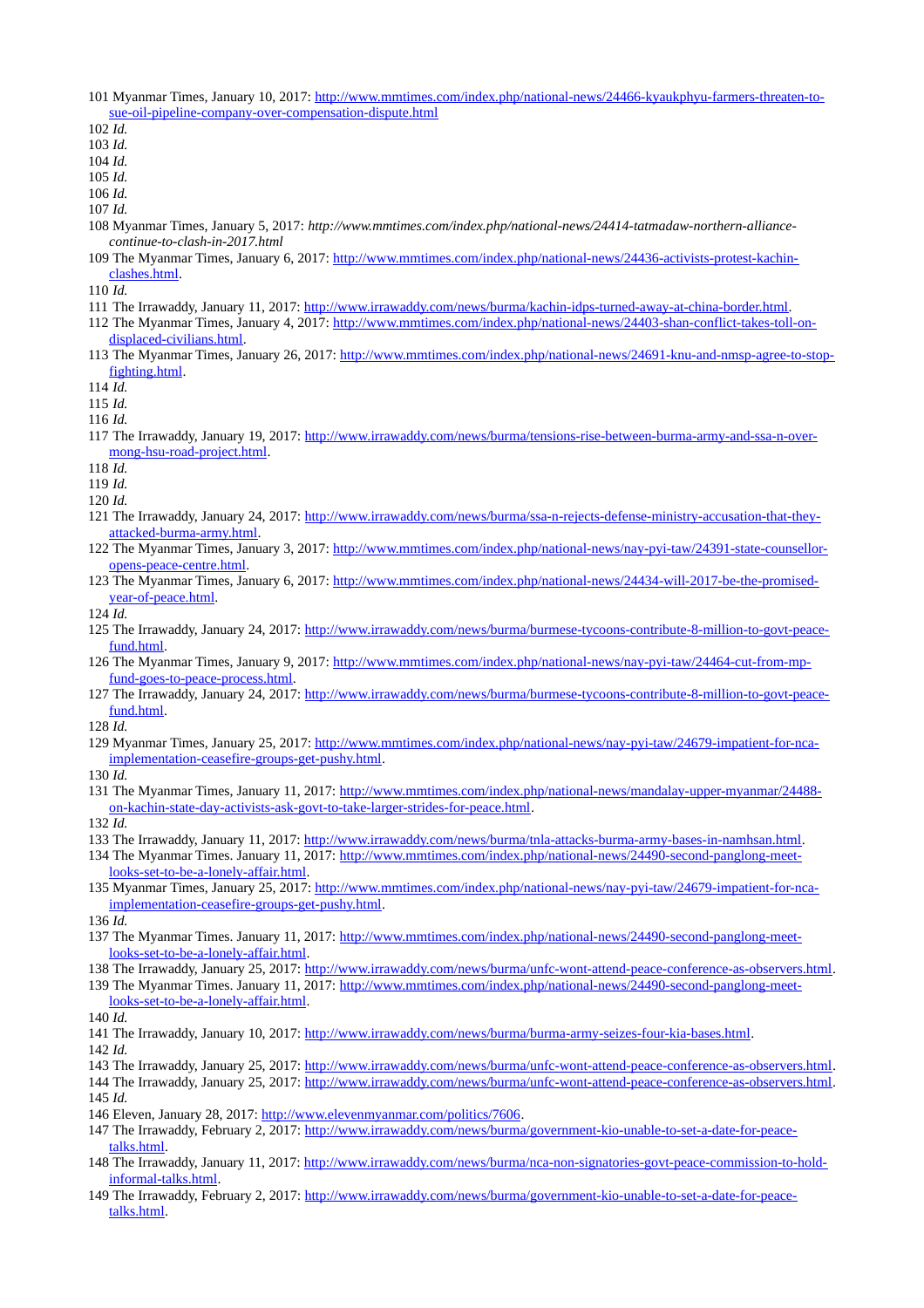- 101 Myanmar Times, January 10, 2017: [http://www.mmtimes.com/index.php/national-news/24466-kyaukphyu-farmers-threaten-to](http://www.mmtimes.com/index.php/national-news/24466-kyaukphyu-farmers-threaten-to-sue-oil-pipeline-company-over-compensation-dispute.html)[sue-oil-pipeline-company-over-compensation-dispute.html](http://www.mmtimes.com/index.php/national-news/24466-kyaukphyu-farmers-threaten-to-sue-oil-pipeline-company-over-compensation-dispute.html)
- *Id.*
- *Id.*

*Id.*

*Id.*

*Id.*

- *Id.*
- 108 Myanmar Times, January 5, 2017: *http://www.mmtimes.com/index.php/national-news/24414-tatmadaw-northern-alliancecontinue-to-clash-in-2017.html*
- The Myanmar Times, January 6, 2017: [http://www.mmtimes.com/index.php/national-news/24436-activists-protest-kachin](http://www.mmtimes.com/index.php/national-news/24436-activists-protest-kachin-clashes.html)[clashes.html.](http://www.mmtimes.com/index.php/national-news/24436-activists-protest-kachin-clashes.html)

*Id.* 

- The Irrawaddy, January 11, 2017: [http://www.irrawaddy.com/news/burma/kachin-idps-turned-away-at-china-border.html.](http://www.irrawaddy.com/news/burma/kachin-idps-turned-away-at-china-border.html)
- The Myanmar Times, January 4, 2017: [http://www.mmtimes.com/index.php/national-news/24403-shan-conflict-takes-toll-on](http://www.mmtimes.com/index.php/national-news/24403-shan-conflict-takes-toll-on-displaced-civilians.html)[displaced-civilians.html.](http://www.mmtimes.com/index.php/national-news/24403-shan-conflict-takes-toll-on-displaced-civilians.html)
- The Myanmar Times, January 26, 2017: [http://www.mmtimes.com/index.php/national-news/24691-knu-and-nmsp-agree-to-stop](http://www.mmtimes.com/index.php/national-news/24691-knu-and-nmsp-agree-to-stop-fighting.html)[fighting.html.](http://www.mmtimes.com/index.php/national-news/24691-knu-and-nmsp-agree-to-stop-fighting.html)

*Id.*

*Id.*

*Id.* 

- The Irrawaddy, January 19, 2017: [http://www.irrawaddy.com/news/burma/tensions-rise-between-burma-army-and-ssa-n-over](http://www.irrawaddy.com/news/burma/tensions-rise-between-burma-army-and-ssa-n-over-mong-hsu-road-project.html)[mong-hsu-road-project.html.](http://www.irrawaddy.com/news/burma/tensions-rise-between-burma-army-and-ssa-n-over-mong-hsu-road-project.html)
- *Id.*

*Id.*

- *Id.*
- The Irrawaddy, January 24, 2017: [http://www.irrawaddy.com/news/burma/ssa-n-rejects-defense-ministry-accusation-that-they](http://www.irrawaddy.com/news/burma/ssa-n-rejects-defense-ministry-accusation-that-they-attacked-burma-army.html)[attacked-burma-army.html.](http://www.irrawaddy.com/news/burma/ssa-n-rejects-defense-ministry-accusation-that-they-attacked-burma-army.html)
- The Myanmar Times, January 3, 2017: [http://www.mmtimes.com/index.php/national-news/nay-pyi-taw/24391-state-counsellor](http://www.mmtimes.com/index.php/national-news/nay-pyi-taw/24391-state-counsellor-opens-peace-centre.html)[opens-peace-centre.html.](http://www.mmtimes.com/index.php/national-news/nay-pyi-taw/24391-state-counsellor-opens-peace-centre.html)
- The Myanmar Times, January 6, 2017: [http://www.mmtimes.com/index.php/national-news/24434-will-2017-be-the-promised](http://www.mmtimes.com/index.php/national-news/24434-will-2017-be-the-promised-year-of-peace.html)[year-of-peace.html.](http://www.mmtimes.com/index.php/national-news/24434-will-2017-be-the-promised-year-of-peace.html)

*Id.* 

- The Irrawaddy, January 24, 2017: [http://www.irrawaddy.com/news/burma/burmese-tycoons-contribute-8-million-to-govt-peace](http://www.irrawaddy.com/news/burma/burmese-tycoons-contribute-8-million-to-govt-peace-fund.html)[fund.html.](http://www.irrawaddy.com/news/burma/burmese-tycoons-contribute-8-million-to-govt-peace-fund.html)
- The Myanmar Times, January 9, 2017: [http://www.mmtimes.com/index.php/national-news/nay-pyi-taw/24464-cut-from-mp](http://www.mmtimes.com/index.php/national-news/nay-pyi-taw/24464-cut-from-mp-fund-goes-to-peace-process.html)[fund-goes-to-peace-process.html.](http://www.mmtimes.com/index.php/national-news/nay-pyi-taw/24464-cut-from-mp-fund-goes-to-peace-process.html)
- The Irrawaddy, January 24, 2017: [http://www.irrawaddy.com/news/burma/burmese-tycoons-contribute-8-million-to-govt-peace](http://www.irrawaddy.com/news/burma/burmese-tycoons-contribute-8-million-to-govt-peace-fund.html)[fund.html.](http://www.irrawaddy.com/news/burma/burmese-tycoons-contribute-8-million-to-govt-peace-fund.html)

*Id.* 

129 Myanmar Times, January 25, 2017: [http://www.mmtimes.com/index.php/national-news/nay-pyi-taw/24679-impatient-for-nca](http://www.mmtimes.com/index.php/national-news/nay-pyi-taw/24679-impatient-for-nca-implementation-ceasefire-groups-get-pushy.html)[implementation-ceasefire-groups-get-pushy.html.](http://www.mmtimes.com/index.php/national-news/nay-pyi-taw/24679-impatient-for-nca-implementation-ceasefire-groups-get-pushy.html)

*Id.*

 The Myanmar Times, January 11, 2017: [http://www.mmtimes.com/index.php/national-news/mandalay-upper-myanmar/24488](http://www.mmtimes.com/index.php/national-news/mandalay-upper-myanmar/24488-on-kachin-state-day-activists-ask-govt-to-take-larger-strides-for-peace.html) [on-kachin-state-day-activists-ask-govt-to-take-larger-strides-for-peace.html.](http://www.mmtimes.com/index.php/national-news/mandalay-upper-myanmar/24488-on-kachin-state-day-activists-ask-govt-to-take-larger-strides-for-peace.html)

*Id.* 

- The Irrawaddy, January 11, 2017: [http://www.irrawaddy.com/news/burma/tnla-attacks-burma-army-bases-in-namhsan.html.](http://www.irrawaddy.com/news/burma/tnla-attacks-burma-army-bases-in-namhsan.html)
- The Myanmar Times. January 11, 2017: [http://www.mmtimes.com/index.php/national-news/24490-second-panglong-meet](http://www.mmtimes.com/index.php/national-news/24490-second-panglong-meet-looks-set-to-be-a-lonely-affair.html)[looks-set-to-be-a-lonely-affair.html.](http://www.mmtimes.com/index.php/national-news/24490-second-panglong-meet-looks-set-to-be-a-lonely-affair.html)
- 135 Myanmar Times, January 25, 2017: [http://www.mmtimes.com/index.php/national-news/nay-pyi-taw/24679-impatient-for-nca](http://www.mmtimes.com/index.php/national-news/nay-pyi-taw/24679-impatient-for-nca-implementation-ceasefire-groups-get-pushy.html)[implementation-ceasefire-groups-get-pushy.html.](http://www.mmtimes.com/index.php/national-news/nay-pyi-taw/24679-impatient-for-nca-implementation-ceasefire-groups-get-pushy.html)

*Id.* 

- The Myanmar Times. January 11, 2017: [http://www.mmtimes.com/index.php/national-news/24490-second-panglong-meet](http://www.mmtimes.com/index.php/national-news/24490-second-panglong-meet-looks-set-to-be-a-lonely-affair.html)[looks-set-to-be-a-lonely-affair.html.](http://www.mmtimes.com/index.php/national-news/24490-second-panglong-meet-looks-set-to-be-a-lonely-affair.html)
- The Irrawaddy, January 25, 2017: [http://www.irrawaddy.com/news/burma/unfc-wont-attend-peace-conference-as-observers.html.](http://www.irrawaddy.com/news/burma/unfc-wont-attend-peace-conference-as-observers.html) 139 The Myanmar Times. January 11, 2017: [http://www.mmtimes.com/index.php/national-news/24490-second-panglong-meet-](http://www.mmtimes.com/index.php/national-news/24490-second-panglong-meet-looks-set-to-be-a-lonely-affair.html)
- [looks-set-to-be-a-lonely-affair.html.](http://www.mmtimes.com/index.php/national-news/24490-second-panglong-meet-looks-set-to-be-a-lonely-affair.html)

*Id.*

The Irrawaddy, January 10, 2017: [http://www.irrawaddy.com/news/burma/burma-army-seizes-four-kia-bases.html.](http://www.irrawaddy.com/news/burma/burma-army-seizes-four-kia-bases.html)

*Id.*

- The Irrawaddy, January 25, 2017: [http://www.irrawaddy.com/news/burma/unfc-wont-attend-peace-conference-as-observers.html.](http://www.irrawaddy.com/news/burma/unfc-wont-attend-peace-conference-as-observers.html)
- The Irrawaddy, January 25, 2017: [http://www.irrawaddy.com/news/burma/unfc-wont-attend-peace-conference-as-observers.html.](http://www.irrawaddy.com/news/burma/unfc-wont-attend-peace-conference-as-observers.html)

*Id.*

- 146 Eleven, January 28, 2017: [http://www.elevenmyanmar.com/politics/7606.](http://www.elevenmyanmar.com/politics/7606)
- The Irrawaddy, February 2, 2017: [http://www.irrawaddy.com/news/burma/government-kio-unable-to-set-a-date-for-peace](http://www.irrawaddy.com/news/burma/government-kio-unable-to-set-a-date-for-peace-talks.html)[talks.html.](http://www.irrawaddy.com/news/burma/government-kio-unable-to-set-a-date-for-peace-talks.html)
- The Irrawaddy, January 11, 2017: [http://www.irrawaddy.com/news/burma/nca-non-signatories-govt-peace-commission-to-hold](http://www.irrawaddy.com/news/burma/nca-non-signatories-govt-peace-commission-to-hold-informal-talks.html)[informal-talks.html.](http://www.irrawaddy.com/news/burma/nca-non-signatories-govt-peace-commission-to-hold-informal-talks.html)
- The Irrawaddy, February 2, 2017: [http://www.irrawaddy.com/news/burma/government-kio-unable-to-set-a-date-for-peace](http://www.irrawaddy.com/news/burma/government-kio-unable-to-set-a-date-for-peace-talks.html)[talks.html.](http://www.irrawaddy.com/news/burma/government-kio-unable-to-set-a-date-for-peace-talks.html)